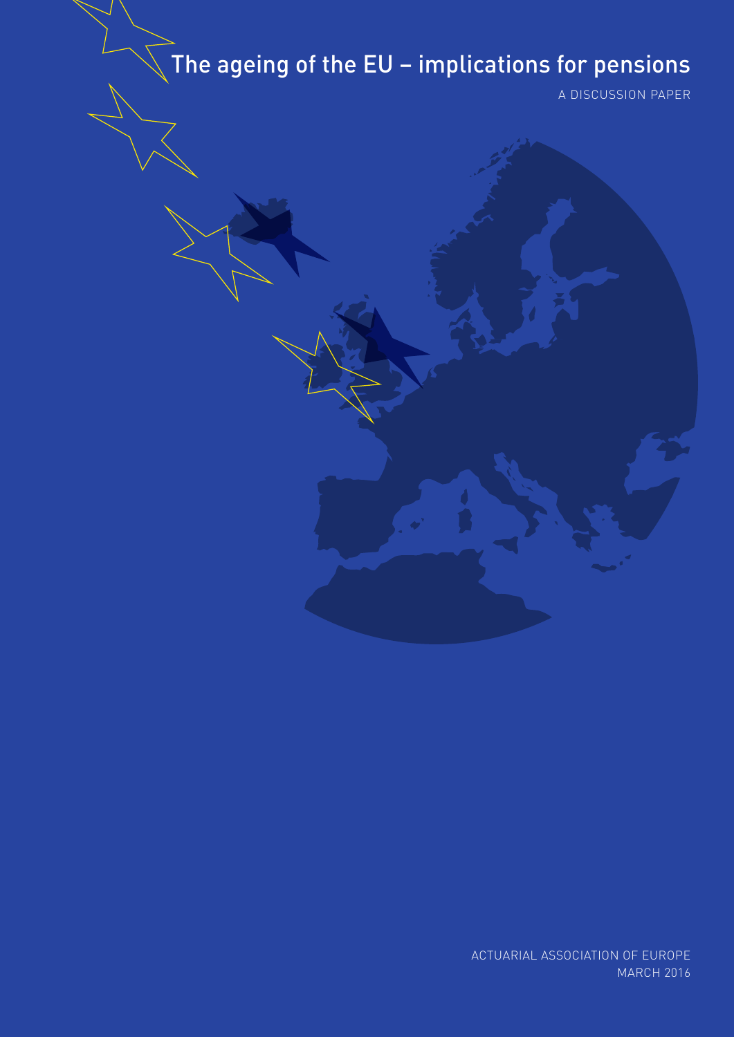# $\sqrt{\phantom{a}}$  The ageing of the EU – implications for pensions

A DISCUSSION PAPER

ACTUARIAL ASSOCIATION OF EUROPE MARCH 2016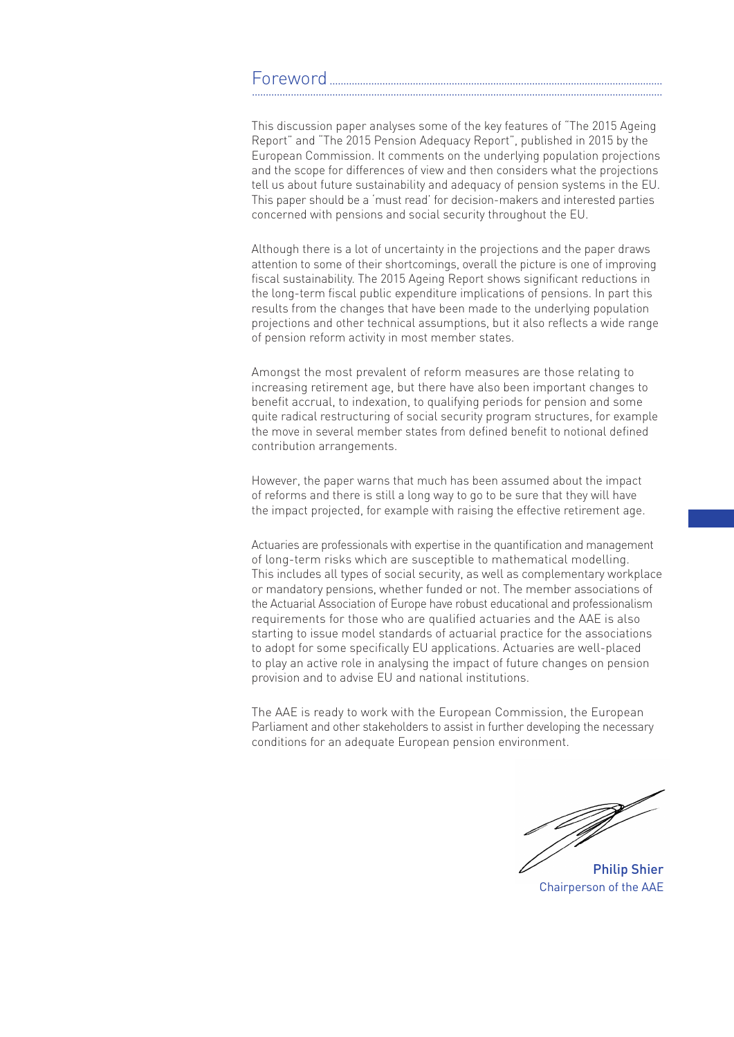#### Foreword........................................................................................................................ ....................................................................................................................................................

This discussion paper analyses some of the key features of "The 2015 Ageing Report" and "The 2015 Pension Adequacy Report", published in 2015 by the European Commission. It comments on the underlying population projections and the scope for differences of view and then considers what the projections tell us about future sustainability and adequacy of pension systems in the EU. This paper should be a 'must read' for decision-makers and interested parties concerned with pensions and social security throughout the EU.

Although there is a lot of uncertainty in the projections and the paper draws attention to some of their shortcomings, overall the picture is one of improving fiscal sustainability. The 2015 Ageing Report shows significant reductions in the long-term fiscal public expenditure implications of pensions. In part this results from the changes that have been made to the underlying population projections and other technical assumptions, but it also reflects a wide range of pension reform activity in most member states.

Amongst the most prevalent of reform measures are those relating to increasing retirement age, but there have also been important changes to benefit accrual, to indexation, to qualifying periods for pension and some quite radical restructuring of social security program structures, for example the move in several member states from defined benefit to notional defined contribution arrangements.

However, the paper warns that much has been assumed about the impact of reforms and there is still a long way to go to be sure that they will have the impact projected, for example with raising the effective retirement age.

Actuaries are professionals with expertise in the quantification and management of long-term risks which are susceptible to mathematical modelling. This includes all types of social security, as well as complementary workplace or mandatory pensions, whether funded or not. The member associations of the Actuarial Association of Europe have robust educational and professionalism requirements for those who are qualified actuaries and the AAE is also starting to issue model standards of actuarial practice for the associations to adopt for some specifically EU applications. Actuaries are well-placed to play an active role in analysing the impact of future changes on pension provision and to advise EU and national institutions.

The AAE is ready to work with the European Commission, the European Parliament and other stakeholders to assist in further developing the necessary conditions for an adequate European pension environment.

Philip Shier Chairperson of the AAE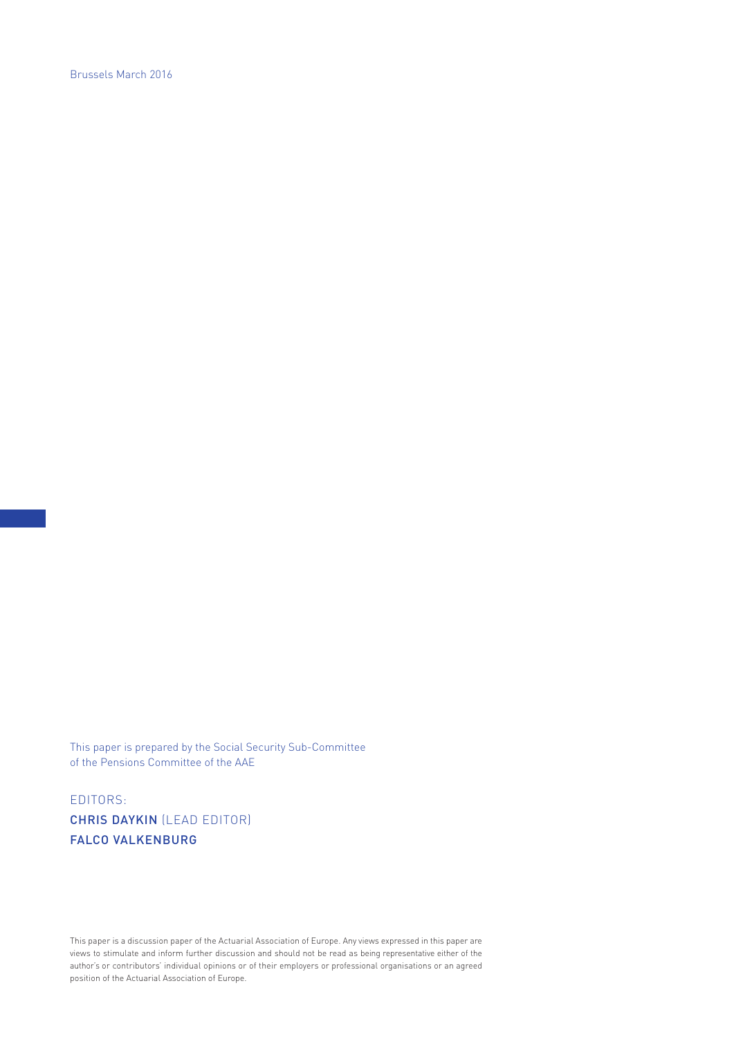Brussels March 2016

This paper is prepared by the Social Security Sub-Committee of the Pensions Committee of the AAE

EDITORS: CHRIS DAYKIN (LEAD EDITOR) FALCO VALKENBURG

This paper is a discussion paper of the Actuarial Association of Europe. Any views expressed in this paper are views to stimulate and inform further discussion and should not be read as being representative either of the author's or contributors' individual opinions or of their employers or professional organisations or an agreed position of the Actuarial Association of Europe.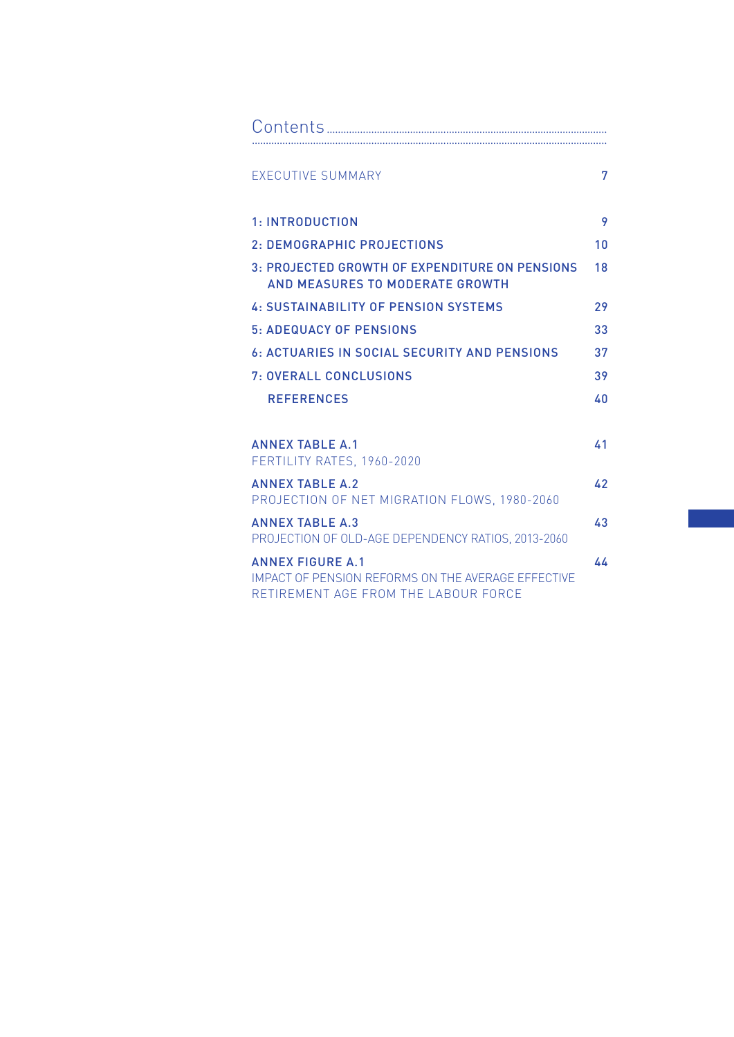| Contents                                                                                                                     |    |
|------------------------------------------------------------------------------------------------------------------------------|----|
| <b>EXECUTIVE SUMMARY</b>                                                                                                     | 7  |
| 1: INTRODUCTION                                                                                                              | 9  |
| 2: DEMOGRAPHIC PROJECTIONS                                                                                                   | 10 |
| 3: PROJECTED GROWTH OF EXPENDITURE ON PENSIONS<br>AND MEASURES TO MODERATE GROWTH                                            | 18 |
| <b>4: SUSTAINABILITY OF PENSION SYSTEMS</b>                                                                                  | 29 |
| <b>5: ADEQUACY OF PENSIONS</b>                                                                                               | 33 |
| 6: ACTUARIES IN SOCIAL SECURITY AND PENSIONS                                                                                 | 37 |
| 7: OVERALL CONCLUSIONS                                                                                                       | 39 |
| <b>REFERENCES</b>                                                                                                            | 40 |
| <b>ANNEX TABLE A.1</b><br>FERTILITY RATES, 1960-2020                                                                         | 41 |
| <b>ANNEX TABLE A.2</b><br>PROJECTION OF NET MIGRATION FLOWS, 1980-2060                                                       | 42 |
| <b>ANNEX TABLE A.3</b><br>PROJECTION OF OLD-AGE DEPENDENCY RATIOS, 2013-2060                                                 | 43 |
| <b>ANNEX FIGURE A.1</b><br><b>IMPACT OF PENSION REFORMS ON THE AVERAGE EFFECTIVE</b><br>RETIREMENT AGE FROM THE LABOUR FORCE | 44 |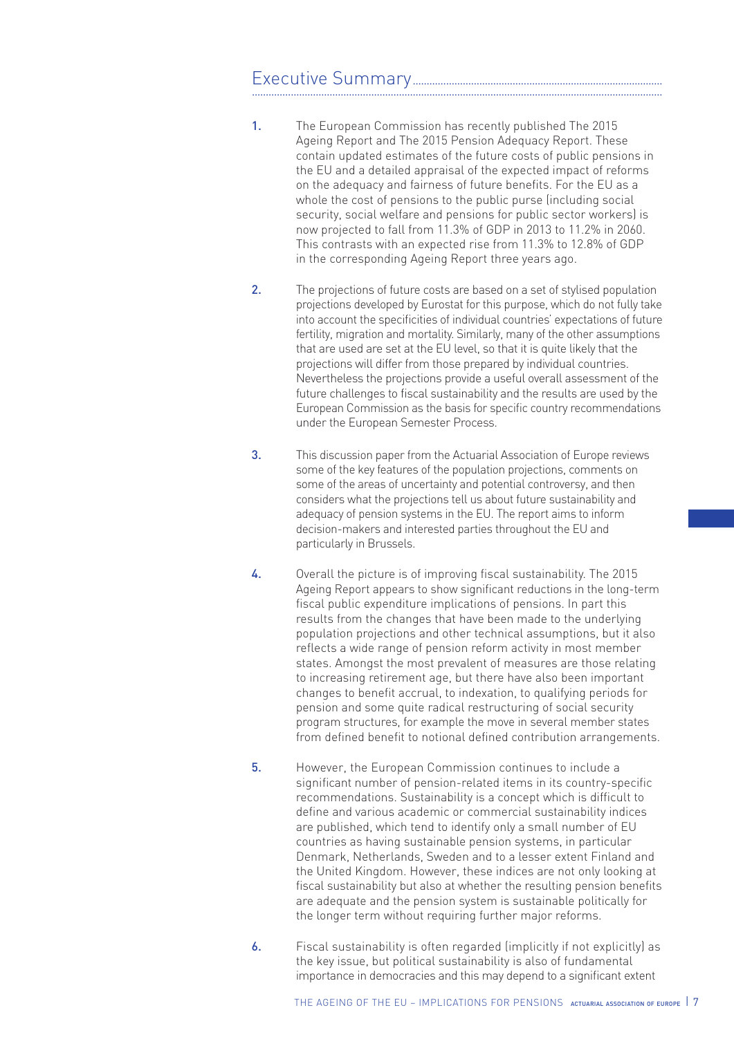# Executive Summary..........................................................................................

1. The European Commission has recently published The 2015 Ageing Report and The 2015 Pension Adequacy Report. These contain updated estimates of the future costs of public pensions in the EU and a detailed appraisal of the expected impact of reforms on the adequacy and fairness of future benefits. For the EU as a whole the cost of pensions to the public purse (including social security, social welfare and pensions for public sector workers) is now projected to fall from 11.3% of GDP in 2013 to 11.2% in 2060. This contrasts with an expected rise from 11.3% to 12.8% of GDP in the corresponding Ageing Report three years ago.

....................................................................................................................................................

- 2. The projections of future costs are based on a set of stylised population projections developed by Eurostat for this purpose, which do not fully take into account the specificities of individual countries' expectations of future fertility, migration and mortality. Similarly, many of the other assumptions that are used are set at the EU level, so that it is quite likely that the projections will differ from those prepared by individual countries. Nevertheless the projections provide a useful overall assessment of the future challenges to fiscal sustainability and the results are used by the European Commission as the basis for specific country recommendations under the European Semester Process.
- 3. This discussion paper from the Actuarial Association of Europe reviews some of the key features of the population projections, comments on some of the areas of uncertainty and potential controversy, and then considers what the projections tell us about future sustainability and adequacy of pension systems in the EU. The report aims to inform decision-makers and interested parties throughout the EU and particularly in Brussels.
- 4. Overall the picture is of improving fiscal sustainability. The 2015 Ageing Report appears to show significant reductions in the long-term fiscal public expenditure implications of pensions. In part this results from the changes that have been made to the underlying population projections and other technical assumptions, but it also reflects a wide range of pension reform activity in most member states. Amongst the most prevalent of measures are those relating to increasing retirement age, but there have also been important changes to benefit accrual, to indexation, to qualifying periods for pension and some quite radical restructuring of social security program structures, for example the move in several member states from defined benefit to notional defined contribution arrangements.
- 5. However, the European Commission continues to include a significant number of pension-related items in its country-specific recommendations. Sustainability is a concept which is difficult to define and various academic or commercial sustainability indices are published, which tend to identify only a small number of EU countries as having sustainable pension systems, in particular Denmark, Netherlands, Sweden and to a lesser extent Finland and the United Kingdom. However, these indices are not only looking at fiscal sustainability but also at whether the resulting pension benefits are adequate and the pension system is sustainable politically for the longer term without requiring further major reforms.
- 6. Fiscal sustainability is often regarded (implicitly if not explicitly) as the key issue, but political sustainability is also of fundamental importance in democracies and this may depend to a significant extent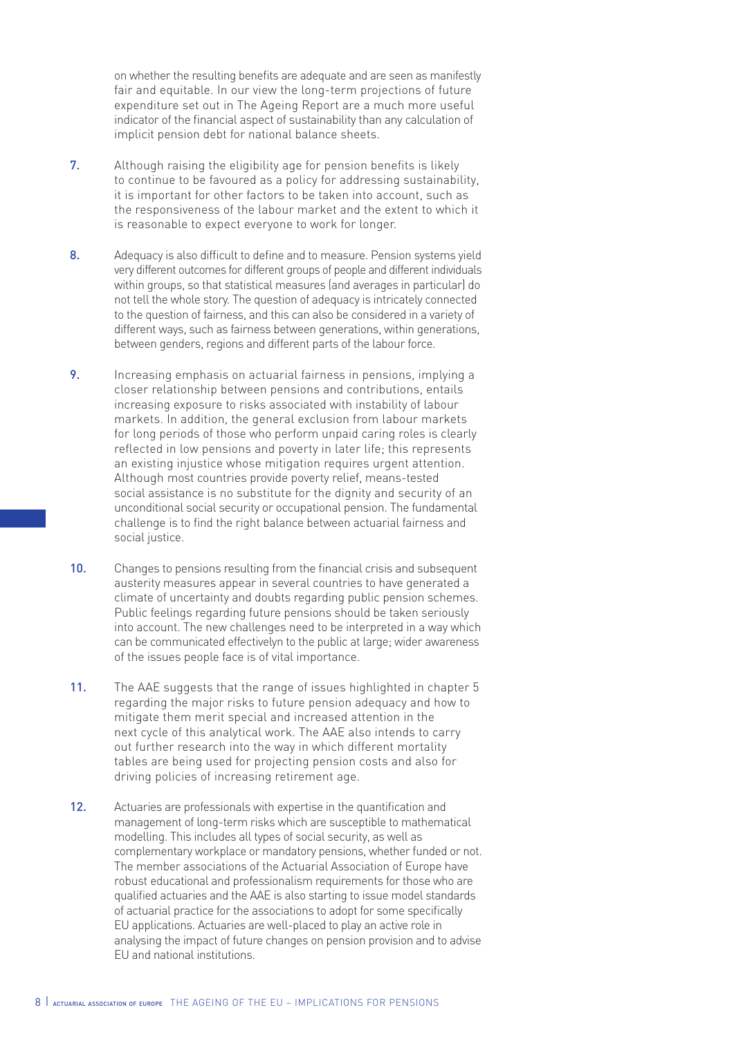on whether the resulting benefits are adequate and are seen as manifestly fair and equitable. In our view the long-term projections of future expenditure set out in The Ageing Report are a much more useful indicator of the financial aspect of sustainability than any calculation of implicit pension debt for national balance sheets.

- 7. Although raising the eligibility age for pension benefits is likely to continue to be favoured as a policy for addressing sustainability, it is important for other factors to be taken into account, such as the responsiveness of the labour market and the extent to which it is reasonable to expect everyone to work for longer.
- 8. Adequacy is also difficult to define and to measure. Pension systems yield very different outcomes for different groups of people and different individuals within groups, so that statistical measures (and averages in particular) do not tell the whole story. The question of adequacy is intricately connected to the question of fairness, and this can also be considered in a variety of different ways, such as fairness between generations, within generations, between genders, regions and different parts of the labour force.
- 9. Increasing emphasis on actuarial fairness in pensions, implying a closer relationship between pensions and contributions, entails increasing exposure to risks associated with instability of labour markets. In addition, the general exclusion from labour markets for long periods of those who perform unpaid caring roles is clearly reflected in low pensions and poverty in later life; this represents an existing injustice whose mitigation requires urgent attention. Although most countries provide poverty relief, means-tested social assistance is no substitute for the dignity and security of an unconditional social security or occupational pension. The fundamental challenge is to find the right balance between actuarial fairness and social justice.
- 10. Changes to pensions resulting from the financial crisis and subsequent austerity measures appear in several countries to have generated a climate of uncertainty and doubts regarding public pension schemes. Public feelings regarding future pensions should be taken seriously into account. The new challenges need to be interpreted in a way which can be communicated effectivelyn to the public at large; wider awareness of the issues people face is of vital importance.
- 11. The AAE suggests that the range of issues highlighted in chapter 5 regarding the major risks to future pension adequacy and how to mitigate them merit special and increased attention in the next cycle of this analytical work. The AAE also intends to carry out further research into the way in which different mortality tables are being used for projecting pension costs and also for driving policies of increasing retirement age.
- 12. Actuaries are professionals with expertise in the quantification and management of long-term risks which are susceptible to mathematical modelling. This includes all types of social security, as well as complementary workplace or mandatory pensions, whether funded or not. The member associations of the Actuarial Association of Europe have robust educational and professionalism requirements for those who are qualified actuaries and the AAE is also starting to issue model standards of actuarial practice for the associations to adopt for some specifically EU applications. Actuaries are well-placed to play an active role in analysing the impact of future changes on pension provision and to advise EU and national institutions.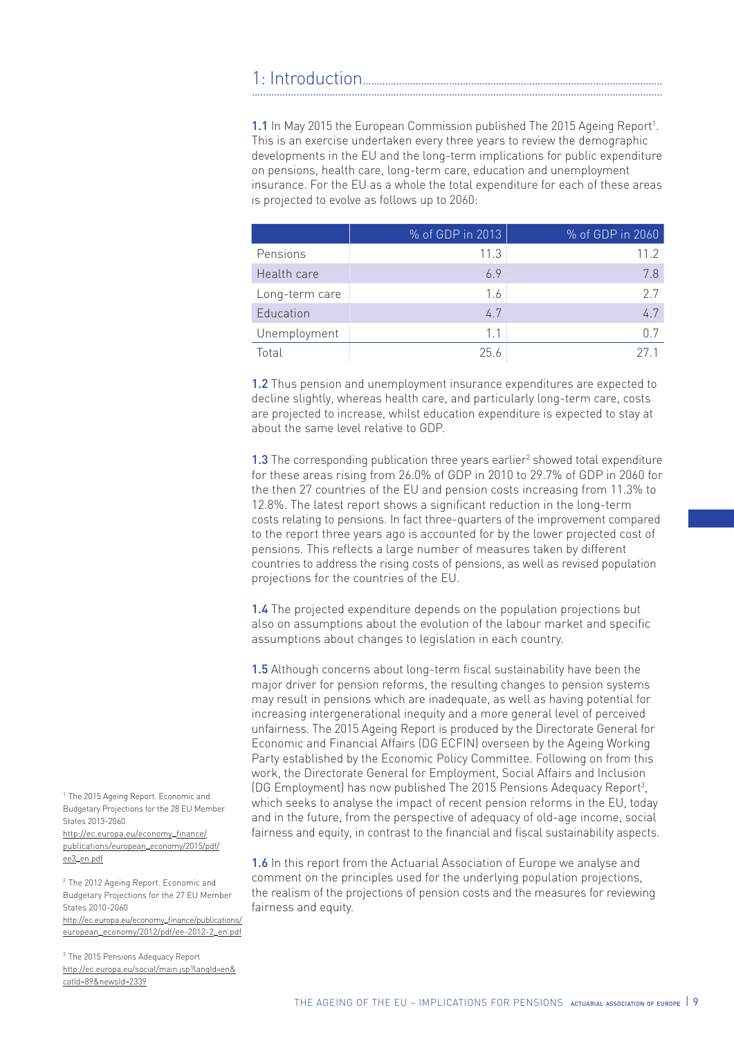## 1: Introduction ....................................................................................................................................................

1.1 In May 2015 the European Commission published The 2015 Ageing Report<sup>1</sup>. This is an exercise undertaken every three years to review the demographic developments in the EU and the long-term implications for public expenditure on pensions, health care, long-term care, education and unemployment insurance. For the EU as a whole the total expenditure for each of these areas is projected to evolve as follows up to 2060:

|                | % of GDP in 2013 | % of GDP in 2060 |
|----------------|------------------|------------------|
| Pensions       | 11.3             | 11.2             |
| Health care    | 6.9              | 7.8              |
| Long-term care | 1.6              | 27               |
| Education      | 4.7              | 4.7              |
| Unemployment   | 1.1              | 0.7              |
| Total          | 25.6             | 77 1             |

1.2 Thus pension and unemployment insurance expenditures are expected to decline slightly, whereas health care, and particularly long-term care, costs are projected to increase, whilst education expenditure is expected to stay at about the same level relative to GDP.

**1.3** The corresponding publication three years earlier<sup>2</sup> showed total expenditure for these areas rising from 26.0% of GDP in 2010 to 29.7% of GDP in 2060 for the then 27 countries of the EU and pension costs increasing from 11.3% to 12.8%. The latest report shows a significant reduction in the long-term costs relating to pensions. In fact three-quarters of the improvement compared to the report three years ago is accounted for by the lower projected cost of pensions. This reflects a large number of measures taken by different countries to address the rising costs of pensions, as well as revised population projections for the countries of the EU.

1.4 The projected expenditure depends on the population projections but also on assumptions about the evolution of the labour market and specific assumptions about changes to legislation in each country.

1.5 Although concerns about long-term fiscal sustainability have been the major driver for pension reforms, the resulting changes to pension systems may result in pensions which are inadequate, as well as having potential for increasing intergenerational inequity and a more general level of perceived unfairness. The 2015 Ageing Report is produced by the Directorate General for Economic and Financial Affairs (DG ECFIN) overseen by the Ageing Working Party established by the Economic Policy Committee. Following on from this work, the Directorate General for Employment, Social Affairs and Inclusion (DG Employment) has now published The 2015 Pensions Adequacy Report<sup>3</sup>, which seeks to analyse the impact of recent pension reforms in the EU, today and in the future, from the perspective of adequacy of old-age income, social fairness and equity, in contrast to the financial and fiscal sustainability aspects.

1.6 In this report from the Actuarial Association of Europe we analyse and comment on the principles used for the underlying population projections, the realism of the projections of pension costs and the measures for reviewing fairness and equity.

<sup>1</sup> The 2015 Ageing Report. Economic and Budgetary Projections for the 28 EU Member States 2013-2060 http://ec.europa.eu/economy\_finance/

publications/european\_economy/2015/pdf/ ee3\_en.pdf

<sup>2</sup> The 2012 Ageing Report. Economic and Budgetary Projections for the 27 EU Member States 2010-2060

http://ec.europa.eu/economy\_finance/publications/ european\_economy/2012/pdf/ee-2012-2\_en.pdf

<sup>3</sup> The 2015 Pensions Adequacy Report http://ec.europa.eu/social/main.jsp?langId=en& catId=89&newsId=2339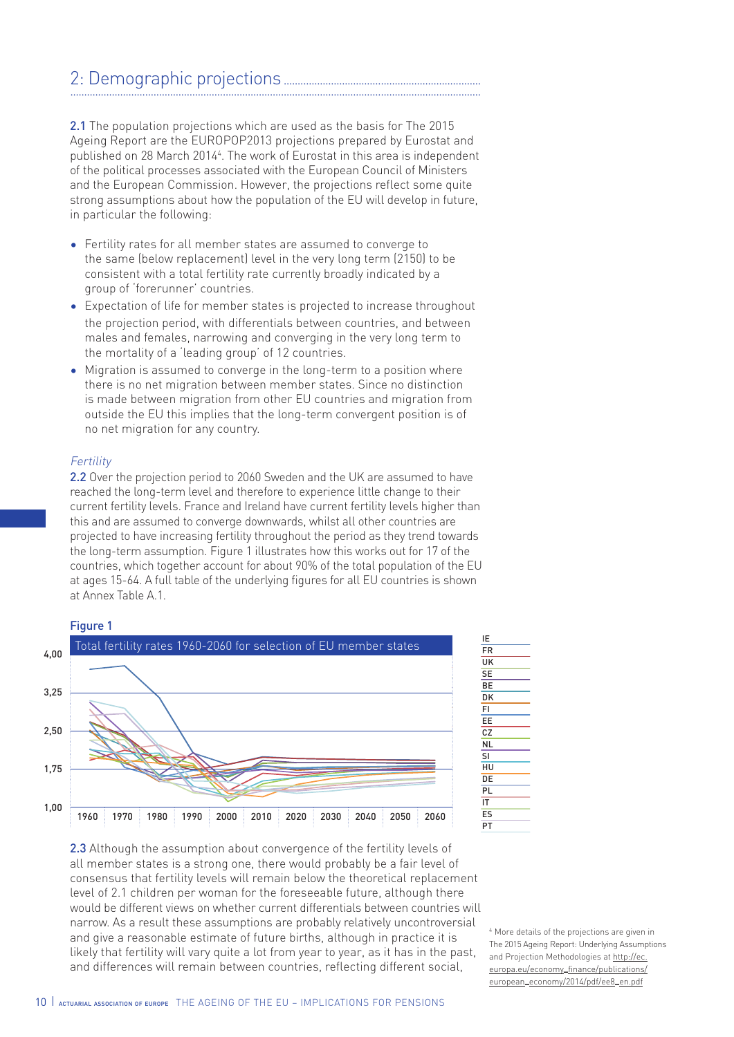# 2: Demographic projections. ....................................................................................................................................................

2.1 The population projections which are used as the basis for The 2015 Ageing Report are the EUROPOP2013 projections prepared by Eurostat and published on 28 March 2014<sup>4</sup>. The work of Eurostat in this area is independent of the political processes associated with the European Council of Ministers and the European Commission. However, the projections reflect some quite strong assumptions about how the population of the EU will develop in future, in particular the following:

- Fertility rates for all member states are assumed to converge to the same (below replacement) level in the very long term (2150) to be consistent with a total fertility rate currently broadly indicated by a group of 'forerunner' countries.
- Expectation of life for member states is projected to increase throughout the projection period, with differentials between countries, and between males and females, narrowing and converging in the very long term to the mortality of a 'leading group' of 12 countries.
- Migration is assumed to converge in the long-term to a position where there is no net migration between member states. Since no distinction is made between migration from other EU countries and migration from outside the EU this implies that the long-term convergent position is of no net migration for any country.

#### **Fertility**

2.2 Over the projection period to 2060 Sweden and the UK are assumed to have reached the long-term level and therefore to experience little change to their current fertility levels. France and Ireland have current fertility levels higher than this and are assumed to converge downwards, whilst all other countries are projected to have increasing fertility throughout the period as they trend towards the long-term assumption. Figure 1 illustrates how this works out for 17 of the countries, which together account for about 90% of the total population of the EU at ages 15-64. A full table of the underlying figures for all EU countries is shown at Annex Table A.1.



2.3 Although the assumption about convergence of the fertility levels of all member states is a strong one, there would probably be a fair level of consensus that fertility levels will remain below the theoretical replacement level of 2.1 children per woman for the foreseeable future, although there would be different views on whether current differentials between countries will narrow. As a result these assumptions are probably relatively uncontroversial and give a reasonable estimate of future births, although in practice it is likely that fertility will vary quite a lot from year to year, as it has in the past, and differences will remain between countries, reflecting different social,

<sup>4</sup> More details of the projections are given in The 2015 Ageing Report: Underlying Assumptions and Projection Methodologies at http://ec. europa.eu/economy\_finance/publications/ european\_economy/2014/pdf/ee8\_en.pdf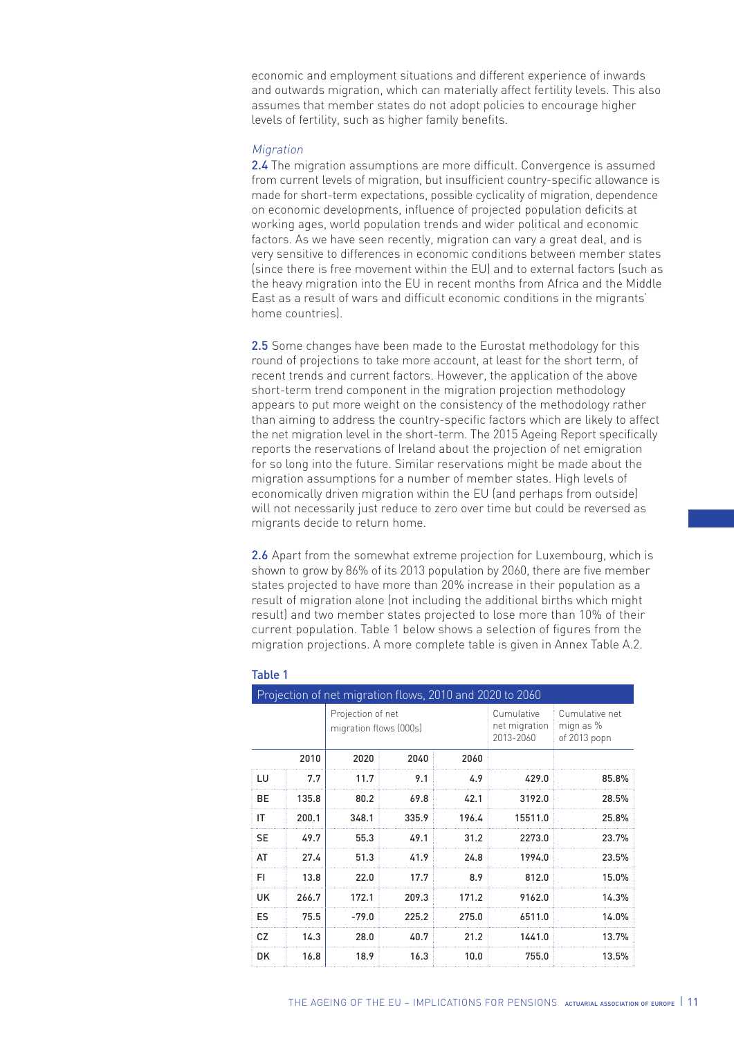economic and employment situations and different experience of inwards and outwards migration, which can materially affect fertility levels. This also assumes that member states do not adopt policies to encourage higher levels of fertility, such as higher family benefits.

#### Migration

2.4 The migration assumptions are more difficult. Convergence is assumed from current levels of migration, but insufficient country-specific allowance is made for short-term expectations, possible cyclicality of migration, dependence on economic developments, influence of projected population deficits at working ages, world population trends and wider political and economic factors. As we have seen recently, migration can vary a great deal, and is very sensitive to differences in economic conditions between member states (since there is free movement within the EU) and to external factors (such as the heavy migration into the EU in recent months from Africa and the Middle East as a result of wars and difficult economic conditions in the migrants' home countries).

2.5 Some changes have been made to the Eurostat methodology for this round of projections to take more account, at least for the short term, of recent trends and current factors. However, the application of the above short-term trend component in the migration projection methodology appears to put more weight on the consistency of the methodology rather than aiming to address the country-specific factors which are likely to affect the net migration level in the short-term. The 2015 Ageing Report specifically reports the reservations of Ireland about the projection of net emigration for so long into the future. Similar reservations might be made about the migration assumptions for a number of member states. High levels of economically driven migration within the EU (and perhaps from outside) will not necessarily just reduce to zero over time but could be reversed as migrants decide to return home.

2.6 Apart from the somewhat extreme projection for Luxembourg, which is shown to grow by 86% of its 2013 population by 2060, there are five member states projected to have more than 20% increase in their population as a result of migration alone (not including the additional births which might result) and two member states projected to lose more than 10% of their current population. Table 1 below shows a selection of figures from the migration projections. A more complete table is given in Annex Table A.2.

| Projection of net migration flows, 2010 and 2020 to 2060 |       |                                             |       |       |                                          |                                             |
|----------------------------------------------------------|-------|---------------------------------------------|-------|-------|------------------------------------------|---------------------------------------------|
|                                                          |       | Projection of net<br>migration flows (000s) |       |       | Cumulative<br>net migration<br>2013-2060 | Cumulative net<br>mign as %<br>of 2013 popn |
|                                                          | 2010  | 2020                                        | 2040  | 2060  |                                          |                                             |
| LU                                                       | 7.7   | 11.7                                        | 9.1   | 4.9   | 429.0                                    | 85.8%                                       |
| <b>BE</b>                                                | 135.8 | 80.2                                        | 69.8  | 42.1  | 3192.0                                   | 28.5%                                       |
| IT                                                       | 200.1 | 348.1                                       | 335.9 | 196.4 | 15511.0                                  | 25.8%                                       |
| <b>SE</b>                                                | 49.7  | 55.3                                        | 49.1  | 31.2  | 2273.0                                   | 23.7%                                       |
| AT                                                       | 27.4  | 51.3                                        | 41.9  | 24.8  | 1994.0                                   | 23.5%                                       |
| FI.                                                      | 13.8  | 22.0                                        | 17.7  | 8.9   | 812.0                                    | 15.0%                                       |
| UK                                                       | 266.7 | 172.1                                       | 209.3 | 171.2 | 9162.0                                   | 14.3%                                       |
| ES                                                       | 75.5  | $-79.0$                                     | 225.2 | 275.0 | 6511.0                                   | 14.0%                                       |
| CZ.                                                      | 14.3  | 28.0                                        | 40.7  | 21.2  | 1441.0                                   | 13.7%                                       |
| DK                                                       | 16.8  | 18.9                                        | 16.3  | 10.0  | 755.0                                    | 13.5%                                       |

#### Table 1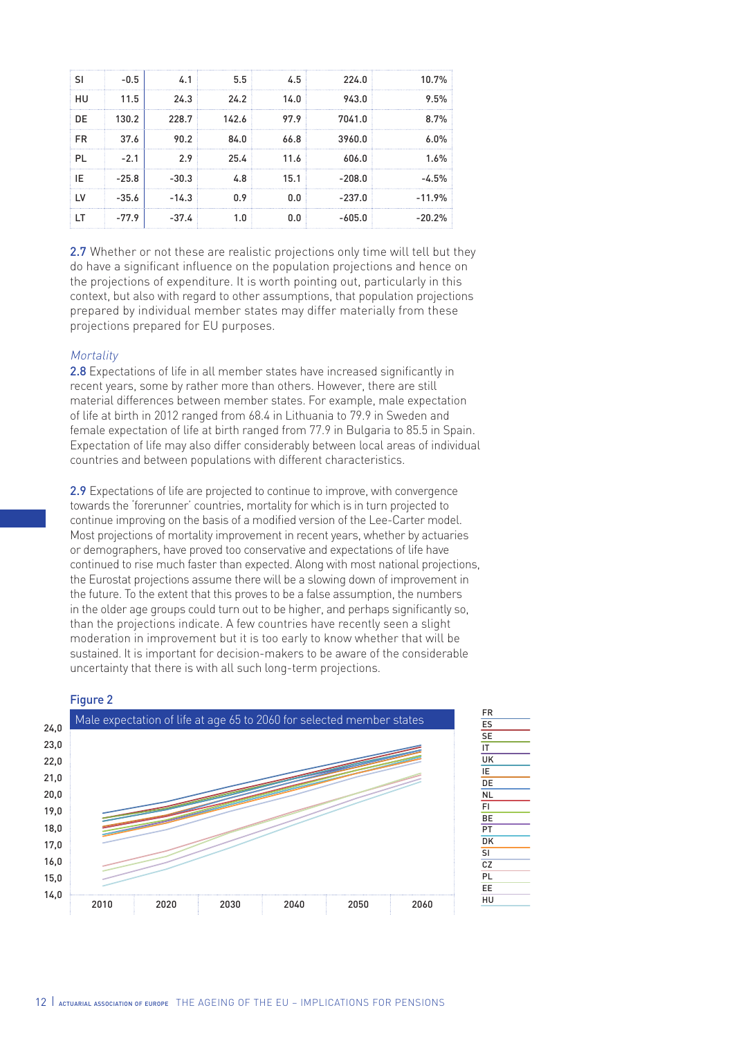| SI        | $-0.5$  | 4.1     | 5.5   | 4.5  | 224.0    | 10.7%    |
|-----------|---------|---------|-------|------|----------|----------|
| HU        | 11.5    | 24.3    | 24.2  | 14.0 | 943.0    | 9.5%     |
| DF        | 130.2   | 228.7   | 142.6 | 97.9 | 7041.0   | 8.7%     |
| <b>FR</b> | 37.6    | 90.2    | 84.0  | 66.8 | 3960.0   | 6.0%     |
| PL        | $-2.1$  | 2.9     | 25.4  | 11.6 | 606.0    | 1.6%     |
| IF        | $-25.8$ | $-30.3$ | 4.8   | 15.1 | $-208.0$ | $-4.5%$  |
| ١V        | $-35.6$ | $-14.3$ | 0.9   | 0.0  | $-237.0$ | $-11.9%$ |
| ד ו       | $-77.9$ | $-37.4$ | 1.0   | 0.0  | $-605.0$ | $-20.2%$ |

2.7 Whether or not these are realistic projections only time will tell but they do have a significant influence on the population projections and hence on the projections of expenditure. It is worth pointing out, particularly in this context, but also with regard to other assumptions, that population projections prepared by individual member states may differ materially from these projections prepared for EU purposes.

#### **Mortality**

2.8 Expectations of life in all member states have increased significantly in recent years, some by rather more than others. However, there are still material differences between member states. For example, male expectation of life at birth in 2012 ranged from 68.4 in Lithuania to 79.9 in Sweden and female expectation of life at birth ranged from 77.9 in Bulgaria to 85.5 in Spain. Expectation of life may also differ considerably between local areas of individual countries and between populations with different characteristics.

2.9 Expectations of life are projected to continue to improve, with convergence towards the 'forerunner' countries, mortality for which is in turn projected to continue improving on the basis of a modified version of the Lee-Carter model. Most projections of mortality improvement in recent years, whether by actuaries or demographers, have proved too conservative and expectations of life have continued to rise much faster than expected. Along with most national projections, the Eurostat projections assume there will be a slowing down of improvement in the future. To the extent that this proves to be a false assumption, the numbers in the older age groups could turn out to be higher, and perhaps significantly so, than the projections indicate. A few countries have recently seen a slight moderation in improvement but it is too early to know whether that will be sustained. It is important for decision-makers to be aware of the considerable uncertainty that there is with all such long-term projections.



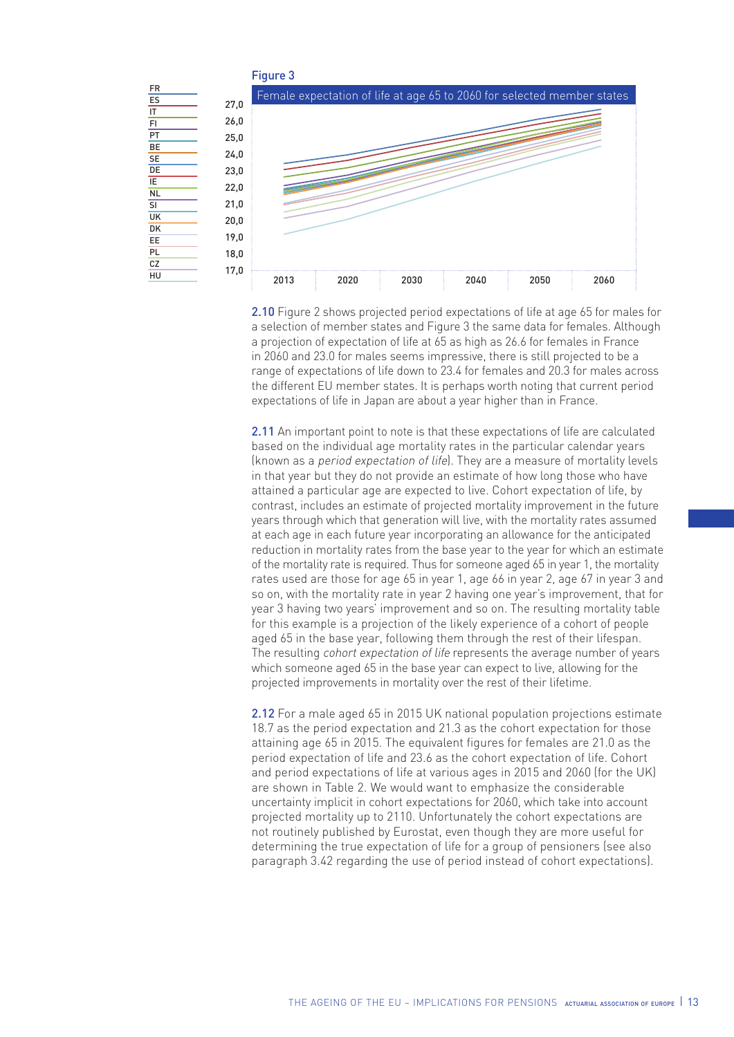

2.10 Figure 2 shows projected period expectations of life at age 65 for males for a selection of member states and Figure 3 the same data for females. Although a projection of expectation of life at 65 as high as 26.6 for females in France in 2060 and 23.0 for males seems impressive, there is still projected to be a range of expectations of life down to 23.4 for females and 20.3 for males across the different EU member states. It is perhaps worth noting that current period expectations of life in Japan are about a year higher than in France.

2.11 An important point to note is that these expectations of life are calculated based on the individual age mortality rates in the particular calendar years (known as a period expectation of life). They are a measure of mortality levels in that year but they do not provide an estimate of how long those who have attained a particular age are expected to live. Cohort expectation of life, by contrast, includes an estimate of projected mortality improvement in the future years through which that generation will live, with the mortality rates assumed at each age in each future year incorporating an allowance for the anticipated reduction in mortality rates from the base year to the year for which an estimate of the mortality rate is required. Thus for someone aged 65 in year 1, the mortality rates used are those for age 65 in year 1, age 66 in year 2, age 67 in year 3 and so on, with the mortality rate in year 2 having one year's improvement, that for year 3 having two years' improvement and so on. The resulting mortality table for this example is a projection of the likely experience of a cohort of people aged 65 in the base year, following them through the rest of their lifespan. The resulting cohort expectation of life represents the average number of years which someone aged 65 in the base year can expect to live, allowing for the projected improvements in mortality over the rest of their lifetime.

2.12 For a male aged 65 in 2015 UK national population projections estimate 18.7 as the period expectation and 21.3 as the cohort expectation for those attaining age 65 in 2015. The equivalent figures for females are 21.0 as the period expectation of life and 23.6 as the cohort expectation of life. Cohort and period expectations of life at various ages in 2015 and 2060 (for the UK) are shown in Table 2. We would want to emphasize the considerable uncertainty implicit in cohort expectations for 2060, which take into account projected mortality up to 2110. Unfortunately the cohort expectations are not routinely published by Eurostat, even though they are more useful for determining the true expectation of life for a group of pensioners (see also paragraph 3.42 regarding the use of period instead of cohort expectations).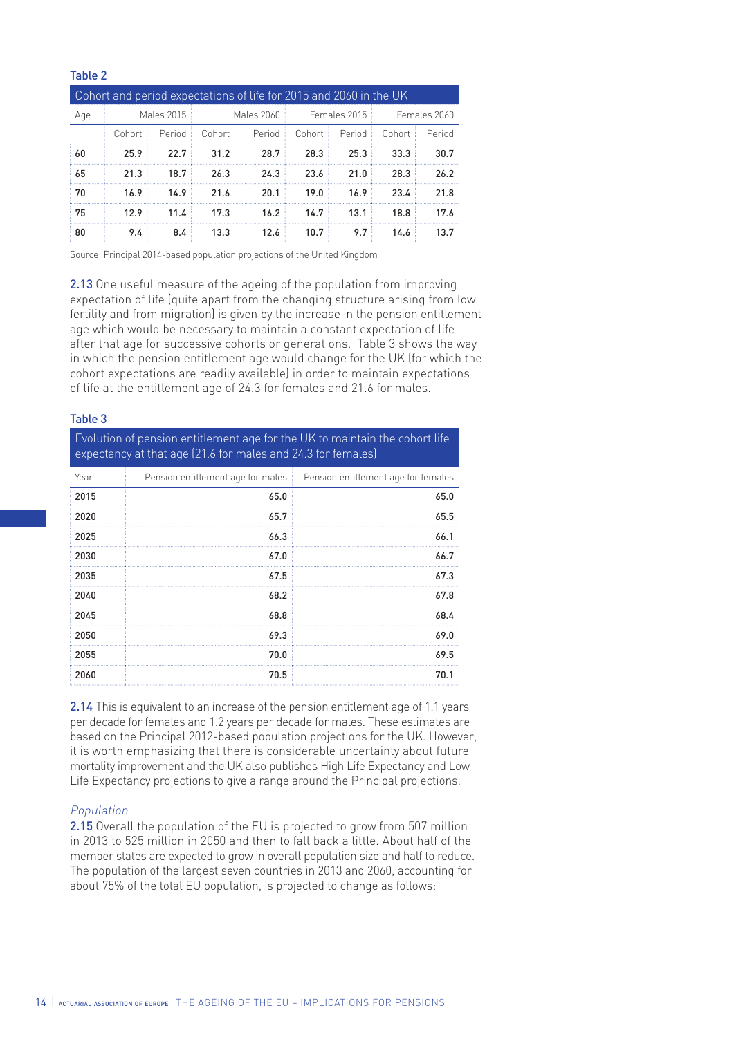#### Table 2

| Cohort and period expectations of life for 2015 and 2060 in the UK |        |            |        |            |        |              |        |              |
|--------------------------------------------------------------------|--------|------------|--------|------------|--------|--------------|--------|--------------|
| Age                                                                |        | Males 2015 |        | Males 2060 |        | Females 2015 |        | Females 2060 |
|                                                                    | Cohort | Period     | Cohort | Period     | Cohort | Period       | Cohort | Period       |
| 60                                                                 | 25.9   | 22.7       | 31.2   | 28.7       | 28.3   | 25.3         | 33.3   | 30.7         |
| 65                                                                 | 21.3   | 18.7       | 26.3   | 24.3       | 23.6   | 21.0         | 28.3   | 26.2         |
| 70                                                                 | 16.9   | 14.9       | 21.6   | 20.1       | 19.0   | 16.9         | 23.4   | 21.8         |
| 75                                                                 | 12.9   | 11.4       | 17.3   | 16.2       | 14.7   | 13.1         | 18.8   | 17.6         |
| 80                                                                 | 9.4    | 8.4        | 13.3   | 12.6       | 10.7   | 9.7          | 14.6   | 13.7         |

Source: Principal 2014-based population projections of the United Kingdom

2.13 One useful measure of the ageing of the population from improving expectation of life (quite apart from the changing structure arising from low fertility and from migration) is given by the increase in the pension entitlement age which would be necessary to maintain a constant expectation of life after that age for successive cohorts or generations. Table 3 shows the way in which the pension entitlement age would change for the UK (for which the cohort expectations are readily available) in order to maintain expectations of life at the entitlement age of 24.3 for females and 21.6 for males.

#### Table 3

Evolution of pension entitlement age for the UK to maintain the cohort life expectancy at that age (21.6 for males and 24.3 for females)

| Year |      | Pension entitlement age for males Pension entitlement age for females |
|------|------|-----------------------------------------------------------------------|
| 2015 | 65.0 | 65.0                                                                  |
| 2020 | 65.7 | 65.5                                                                  |
| 2025 | 66.3 | 66.1                                                                  |
| 2030 | 67.0 | 66.7                                                                  |
| 2035 | 67.5 | 67.3                                                                  |
| 2040 | 68.2 | 67.8                                                                  |
| 2045 | 68.8 | 68.4                                                                  |
| 2050 | 69.3 | 69.0                                                                  |
| 2055 | 70.0 | 69.5                                                                  |
| 2060 | 70.5 | 70.1                                                                  |

2.14 This is equivalent to an increase of the pension entitlement age of 1.1 years per decade for females and 1.2 years per decade for males. These estimates are based on the Principal 2012-based population projections for the UK. However, it is worth emphasizing that there is considerable uncertainty about future mortality improvement and the UK also publishes High Life Expectancy and Low Life Expectancy projections to give a range around the Principal projections.

#### Population

2.15 Overall the population of the EU is projected to grow from 507 million in 2013 to 525 million in 2050 and then to fall back a little. About half of the member states are expected to grow in overall population size and half to reduce. The population of the largest seven countries in 2013 and 2060, accounting for about 75% of the total EU population, is projected to change as follows: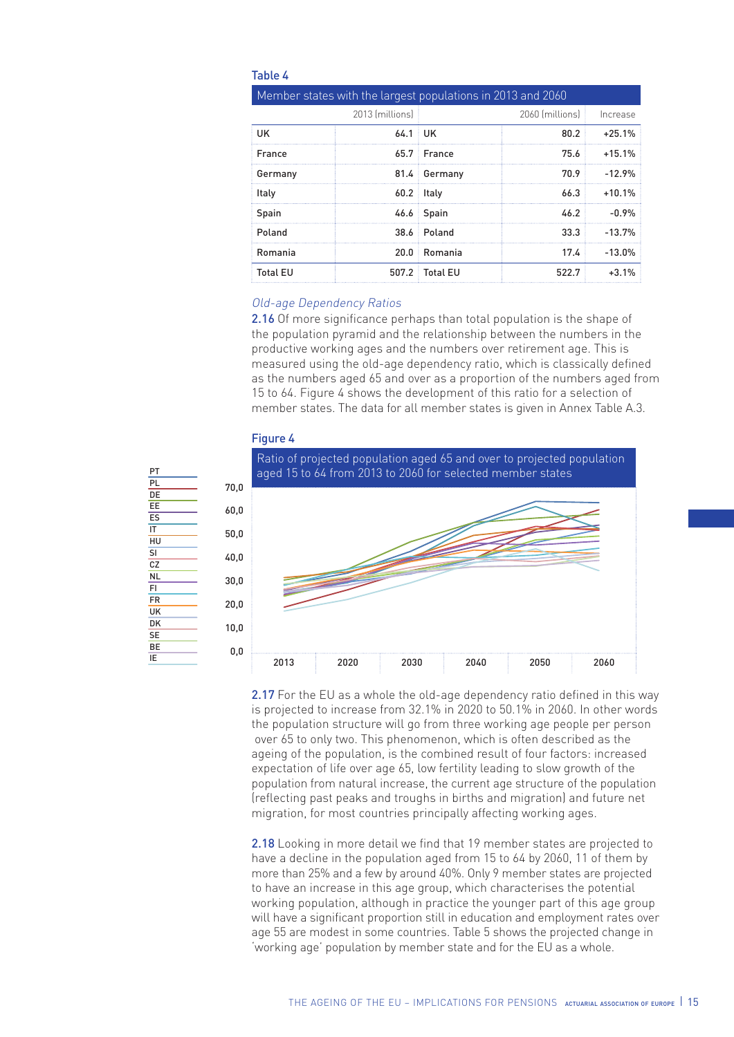| $190C +$                                                    |                 |                 |                 |          |  |  |
|-------------------------------------------------------------|-----------------|-----------------|-----------------|----------|--|--|
| Member states with the largest populations in 2013 and 2060 |                 |                 |                 |          |  |  |
|                                                             | 2013 (millions) |                 | 2060 (millions) | Increase |  |  |
| UK                                                          | 64.1            | ‡ UK            | 80.2            | $+25.1%$ |  |  |
| France                                                      |                 | $65.7$ France   | 75.6            | $+15.1%$ |  |  |
| Germany                                                     |                 | 81.4 Germany    | 70.9            | $-12.9%$ |  |  |
| Italy                                                       | $60.2$ Italy    |                 | 66.3            | $+10.1%$ |  |  |
| Spain                                                       |                 | 46.6 Spain      | 46.2            | $-0.9%$  |  |  |
| Poland                                                      | 38.6            | Poland          | 33.3            | $-13.7%$ |  |  |
| Romania                                                     | 20.0            | Romania         | 17.4            | $-13.0%$ |  |  |
| Total EU                                                    | 507.2           | <b>Total EU</b> | 522.7           | $+3.1%$  |  |  |

# Old-age Dependency Ratios

Table 4

2.16 Of more significance perhaps than total population is the shape of the population pyramid and the relationship between the numbers in the productive working ages and the numbers over retirement age. This is measured using the old-age dependency ratio, which is classically defined as the numbers aged 65 and over as a proportion of the numbers aged from 15 to 64. Figure 4 shows the development of this ratio for a selection of member states. The data for all member states is given in Annex Table A.3.





2.17 For the EU as a whole the old-age dependency ratio defined in this way is projected to increase from 32.1% in 2020 to 50.1% in 2060. In other words the population structure will go from three working age people per person over 65 to only two. This phenomenon, which is often described as the ageing of the population, is the combined result of four factors: increased expectation of life over age 65, low fertility leading to slow growth of the population from natural increase, the current age structure of the population (reflecting past peaks and troughs in births and migration) and future net migration, for most countries principally affecting working ages.

2.18 Looking in more detail we find that 19 member states are projected to have a decline in the population aged from 15 to 64 by 2060, 11 of them by more than 25% and a few by around 40%. Only 9 member states are projected to have an increase in this age group, which characterises the potential working population, although in practice the younger part of this age group will have a significant proportion still in education and employment rates over age 55 are modest in some countries. Table 5 shows the projected change in 'working age' population by member state and for the EU as a whole.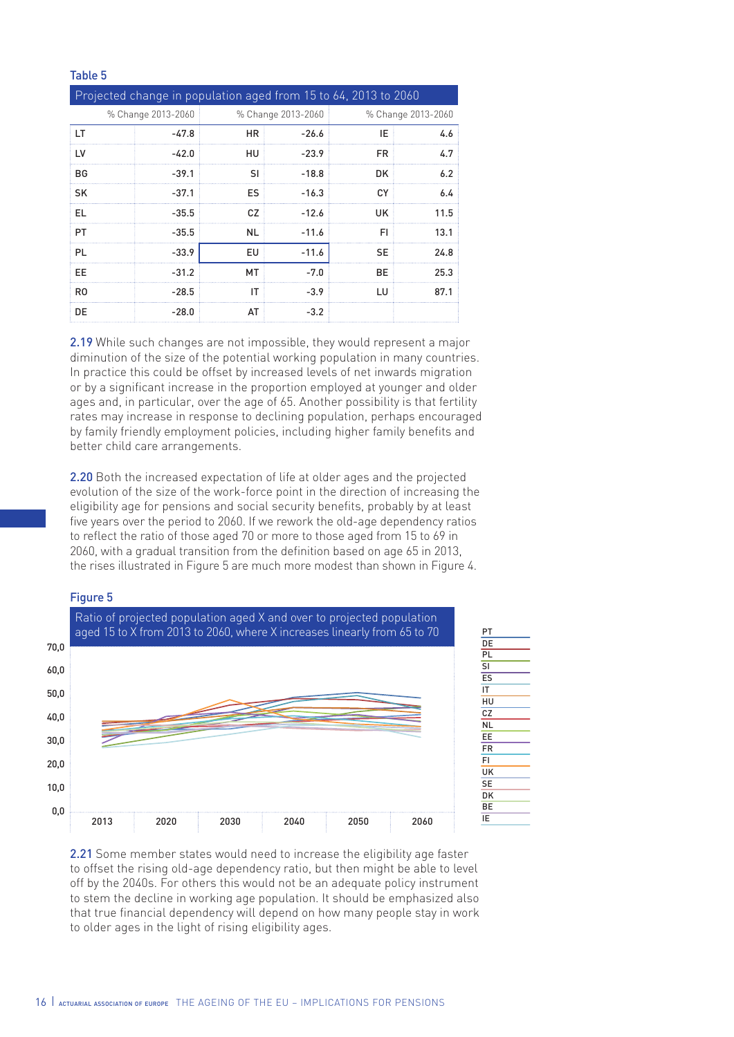#### Table 5

| Projected change in population aged from 15 to 64, 2013 to 2060 |                    |           |                    |                    |      |
|-----------------------------------------------------------------|--------------------|-----------|--------------------|--------------------|------|
|                                                                 | % Change 2013-2060 |           | % Change 2013-2060 | % Change 2013-2060 |      |
| LT                                                              | $-47.8$            | HR.       | $-26.6$            | IE                 | 4.6  |
| LV                                                              | $-42.0$            | HU        | $-23.9$            | FR                 | 4.7  |
| ВG                                                              | $-39.1$            | SI        | $-18.8$            | DK.                | 6.2  |
| SK                                                              | $-37.1$            | ES        | $-16.3$            | СY                 | 64   |
| EL                                                              | $-35.5$            | CZ.       | $-12.6$            | UK                 | 11.5 |
| PT                                                              | $-35.5$            | <b>NL</b> | $-11.6$            | FI                 | 13.1 |
| <b>PL</b>                                                       | $-33.9$            | EU        | $-11.6$            | SE                 | 24.8 |
| EE                                                              | $-31.2$            | MT        | $-7.0$             | ВE                 | 25.3 |
| R <sub>0</sub>                                                  | $-28.5$            | IT        | $-3.9$             | LU                 | 87.1 |
| DE                                                              | $-28.0$            | AT        | $-3.2$             |                    |      |

2.19 While such changes are not impossible, they would represent a major diminution of the size of the potential working population in many countries. In practice this could be offset by increased levels of net inwards migration or by a significant increase in the proportion employed at younger and older ages and, in particular, over the age of 65. Another possibility is that fertility rates may increase in response to declining population, perhaps encouraged by family friendly employment policies, including higher family benefits and better child care arrangements.

2.20 Both the increased expectation of life at older ages and the projected evolution of the size of the work-force point in the direction of increasing the eligibility age for pensions and social security benefits, probably by at least five years over the period to 2060. If we rework the old-age dependency ratios to reflect the ratio of those aged 70 or more to those aged from 15 to 69 in 2060, with a gradual transition from the definition based on age 65 in 2013, the rises illustrated in Figure 5 are much more modest than shown in Figure 4.

#### Figure 5



2.21 Some member states would need to increase the eligibility age faster to offset the rising old-age dependency ratio, but then might be able to level off by the 2040s. For others this would not be an adequate policy instrument to stem the decline in working age population. It should be emphasized also that true financial dependency will depend on how many people stay in work to older ages in the light of rising eligibility ages.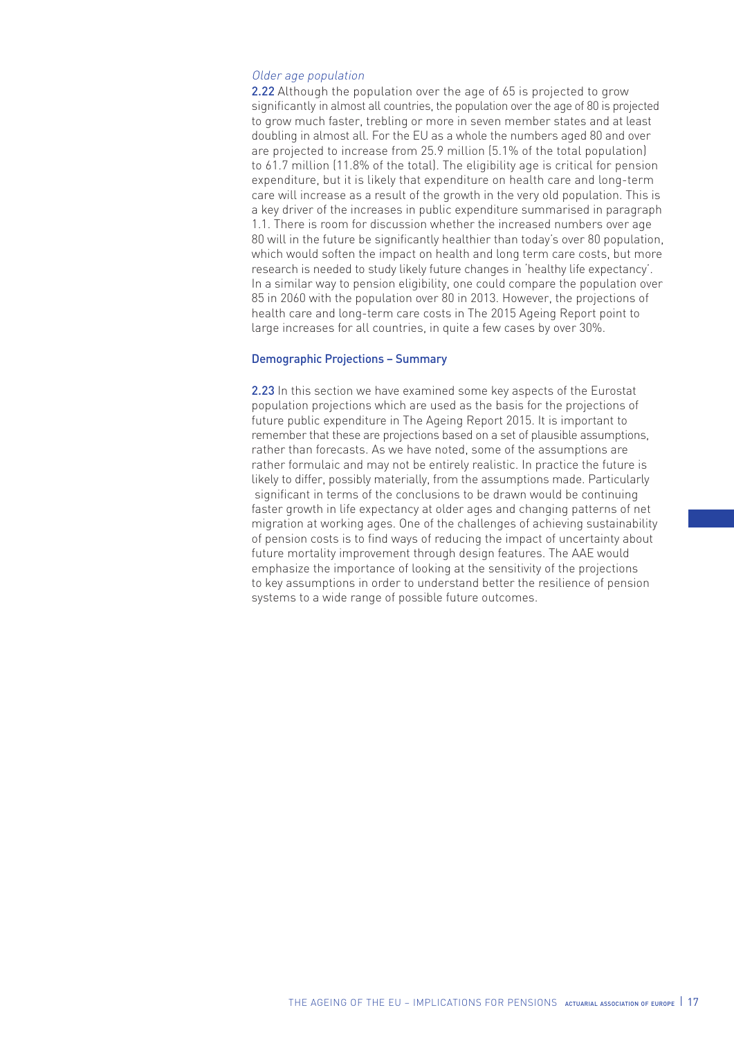## Older age population

2.22 Although the population over the age of 65 is projected to grow significantly in almost all countries, the population over the age of 80 is projected to grow much faster, trebling or more in seven member states and at least doubling in almost all. For the EU as a whole the numbers aged 80 and over are projected to increase from 25.9 million (5.1% of the total population) to 61.7 million (11.8% of the total). The eligibility age is critical for pension expenditure, but it is likely that expenditure on health care and long-term care will increase as a result of the growth in the very old population. This is a key driver of the increases in public expenditure summarised in paragraph 1.1. There is room for discussion whether the increased numbers over age 80 will in the future be significantly healthier than today's over 80 population, which would soften the impact on health and long term care costs, but more research is needed to study likely future changes in 'healthy life expectancy'. In a similar way to pension eligibility, one could compare the population over 85 in 2060 with the population over 80 in 2013. However, the projections of health care and long-term care costs in The 2015 Ageing Report point to large increases for all countries, in quite a few cases by over 30%.

# Demographic Projections – Summary

2.23 In this section we have examined some key aspects of the Eurostat population projections which are used as the basis for the projections of future public expenditure in The Ageing Report 2015. It is important to remember that these are projections based on a set of plausible assumptions, rather than forecasts. As we have noted, some of the assumptions are rather formulaic and may not be entirely realistic. In practice the future is likely to differ, possibly materially, from the assumptions made. Particularly significant in terms of the conclusions to be drawn would be continuing faster growth in life expectancy at older ages and changing patterns of net migration at working ages. One of the challenges of achieving sustainability of pension costs is to find ways of reducing the impact of uncertainty about future mortality improvement through design features. The AAE would emphasize the importance of looking at the sensitivity of the projections to key assumptions in order to understand better the resilience of pension systems to a wide range of possible future outcomes.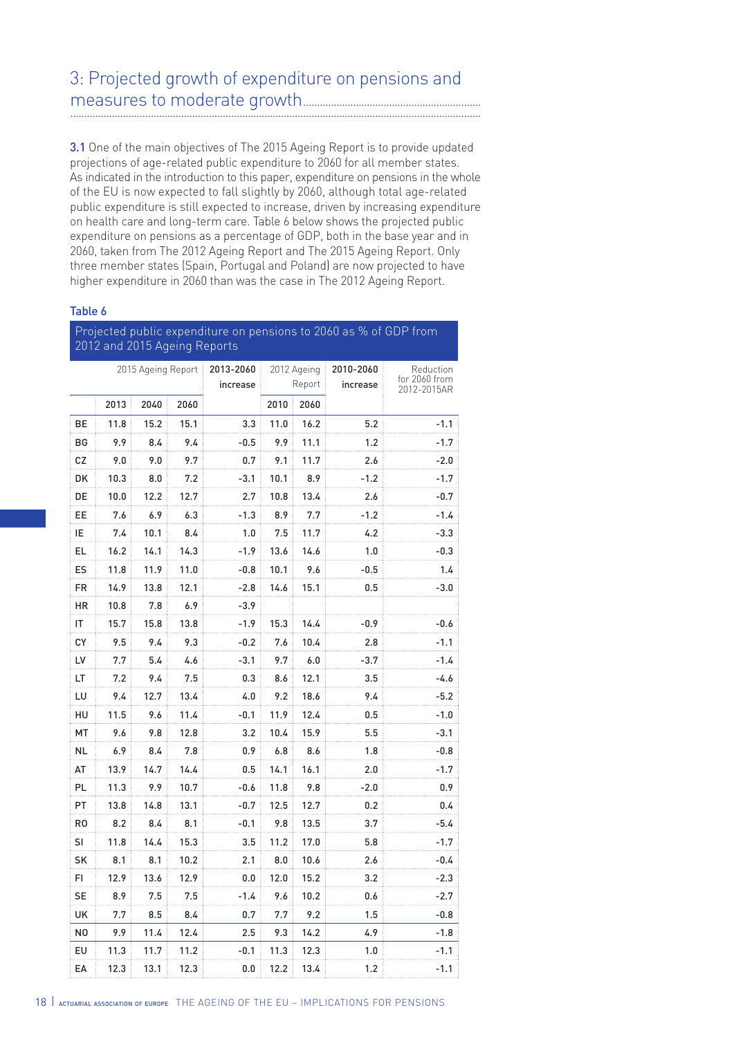# 3: Projected growth of expenditure on pensions and measures to moderate growth................................................................ ....................................................................................................................................................

3.1 One of the main objectives of The 2015 Ageing Report is to provide updated projections of age-related public expenditure to 2060 for all member states. As indicated in the introduction to this paper, expenditure on pensions in the whole of the EU is now expected to fall slightly by 2060, although total age-related public expenditure is still expected to increase, driven by increasing expenditure on health care and long-term care. Table 6 below shows the projected public expenditure on pensions as a percentage of GDP, both in the base year and in 2060, taken from The 2012 Ageing Report and The 2015 Ageing Report. Only three member states (Spain, Portugal and Poland) are now projected to have higher expenditure in 2060 than was the case in The 2012 Ageing Report.

#### Table 6

Projected public expenditure on pensions to 2060 as % of GDP from 2012 and 2015 Ageing Reports

|    | 2015 Ageing Report |      |      | 2013-2060<br>increase |      | 2012 Ageing<br>Report | 2010-2060<br>increase | Reduction<br>for 2060 from<br>2012-2015AR |
|----|--------------------|------|------|-----------------------|------|-----------------------|-----------------------|-------------------------------------------|
|    | 2013               | 2040 | 2060 |                       | 2010 | 2060                  |                       |                                           |
| BЕ | 11.8               | 15.2 | 15.1 | 3.3                   | 11.0 | 16.2                  | 5.2                   | $-1.1$                                    |
| BG | 9.9                | 8.4  | 9.4  | $-0.5$                | 9.9  | 11.1                  | 1.2                   | $-1.7$                                    |
| CZ | 9.0                | 9.0  | 9.7  | 0.7                   | 9.1  | 11.7                  | 2.6                   | $-2.0$                                    |
| DK | 10.3               | 8.0  | 7.2  | -3.1                  | 10.1 | 8.9                   | -1.2                  | -1.7                                      |
| DE | 10.0               | 12.2 | 12.7 | 2.7                   | 10.8 | 13.4                  | 2.6                   | $-0.7$                                    |
| EE | 7.6                | 6.9  | 6.3  | $-1.3$                | 8.9  | 7.7                   | $-1.2$                | -1.4                                      |
| ΙE | 7.4                | 10.1 | 8.4  | 1.0                   | 7.5  | 11.7                  | 4.2                   | $-3.3$                                    |
| EL | 16.2               | 14.1 | 14.3 | $-1.9$                | 13.6 | 14.6                  | 1.0                   | $-0.3$                                    |
| ES | 11.8               | 11.9 | 11.0 | -0.8                  | 10.1 | 9.6                   | -0.5                  | 1.4                                       |
| FR | 14.9               | 13.8 | 12.1 | -2.8                  | 14.6 | 15.1                  | 0.5                   | $-3.0$                                    |
| ΗR | 10.8               | 7.8  | 6.9  | -3.9                  |      |                       |                       |                                           |
| ΙT | 15.7               | 15.8 | 13.8 | -1.9                  | 15.3 | 14.4                  | $-0.9$                | -0.6                                      |
| СY | 9.5                | 9.4  | 9.3  | -0.2                  | 7.6  | 10.4                  | 2.8                   | $-1.1$                                    |
| LV | 7.7                | 5.4  | 4.6  | $-3.1$                | 9.7  | 6.0                   | $-3.7$                | $-1.4$                                    |
| LT | 7.2                | 9.4  | 7.5  | 0.3                   | 8.6  | 12.1                  | 3.5                   | -4.6                                      |
| LU | 9.4                | 12.7 | 13.4 | 4.0                   | 9.2  | 18.6                  | 9.4                   | $-5.2$                                    |
| HU | 11.5               | 9.6  | 11.4 | -0.1                  | 11.9 | 12.4                  | 0.5                   | $-1.0$                                    |
| МT | 9.6                | 9.8  | 12.8 | 3.2                   | 10.4 | 15.9                  | 5.5                   | $-3.1$                                    |
| NL | 6.9                | 8.4  | 7.8  | 0.9                   | 6.8  | 8.6                   | 1.8                   | $-0.8$                                    |
| AT | 13.9               | 14.7 | 14.4 | 0.5                   | 14.1 | 16.1                  | 2.0                   | -1.7                                      |
| PL | 11.3               | 9.9  | 10.7 | -0.6                  | 11.8 | 9.8                   | -2.0                  | 0.9                                       |
| PT | 13.8               | 14.8 | 13.1 | $-0.7$                | 12.5 | 12.7                  | 0.2                   | 0.4                                       |
| RO | 8.2                | 8.4  | 8.1  | -0.1                  | 9.8  | 13.5                  | 3.7                   | $-5.4$                                    |
| SI | 11.8               | 14.4 | 15.3 | 3.5                   | 11.2 | 17.0                  | 5.8                   | $-1.7$                                    |
| SK | 8.1                | 8.1  | 10.2 | 2.1                   | 8.0  | 10.6                  | 2.6                   | -0.4                                      |
| FI | 12.9               | 13.6 | 12.9 | 0.0                   | 12.0 | 15.2                  | 3.2                   | -2.3                                      |
| SE | 8.9                | 7.5  | 7.5  | -1.4                  | 9.6  | 10.2                  | 0.6                   | $-2.7$                                    |
| UK | 7.7                | 8.5  | 8.4  | 0.7                   | 7.7  | 9.2                   | 1.5                   | $-0.8$                                    |
| N0 | 9.9                | 11.4 | 12.4 | 2.5                   | 9.3  | 14.2                  | 4.9                   | $-1.8$                                    |
| EU | 11.3               | 11.7 | 11.2 | $-0.1$                | 11.3 | 12.3                  | 1.0                   | $-1.1$                                    |
| EA | 12.3               | 13.1 | 12.3 | 0.0                   | 12.2 | 13.4                  | 1.2                   | $-1.1$                                    |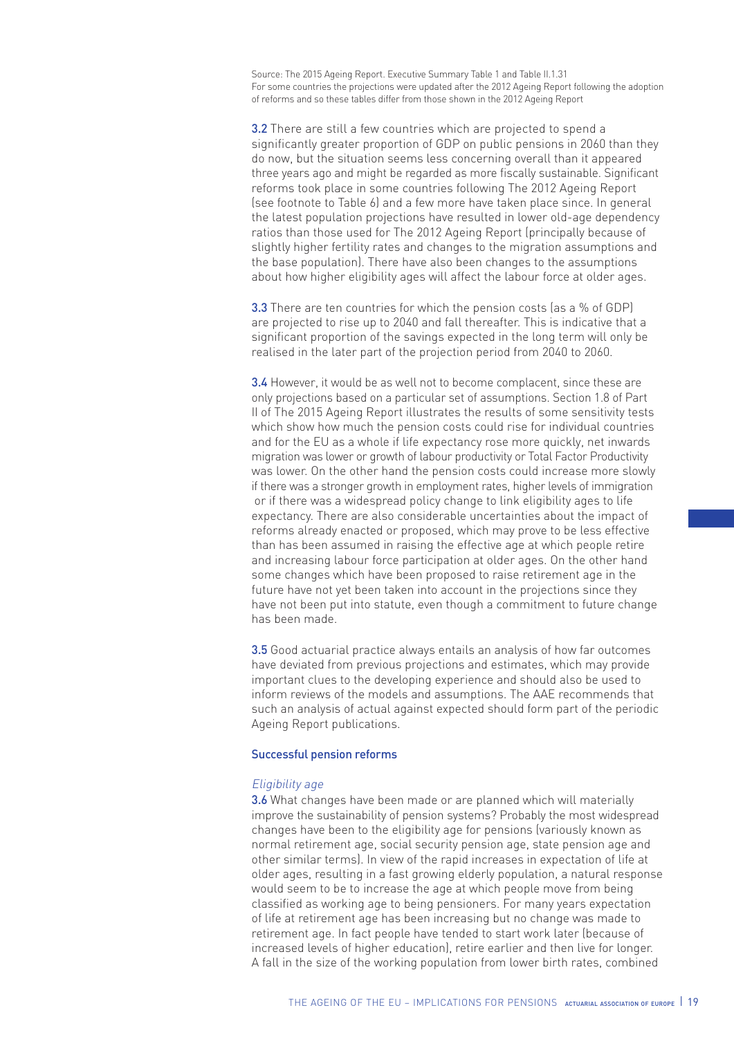Source: The 2015 Ageing Report. Executive Summary Table 1 and Table II.1.31 For some countries the projections were updated after the 2012 Ageing Report following the adoption of reforms and so these tables differ from those shown in the 2012 Ageing Report

3.2 There are still a few countries which are projected to spend a significantly greater proportion of GDP on public pensions in 2060 than they do now, but the situation seems less concerning overall than it appeared three years ago and might be regarded as more fiscally sustainable. Significant reforms took place in some countries following The 2012 Ageing Report (see footnote to Table 6) and a few more have taken place since. In general the latest population projections have resulted in lower old-age dependency ratios than those used for The 2012 Ageing Report (principally because of slightly higher fertility rates and changes to the migration assumptions and the base population). There have also been changes to the assumptions about how higher eligibility ages will affect the labour force at older ages.

3.3 There are ten countries for which the pension costs (as a % of GDP) are projected to rise up to 2040 and fall thereafter. This is indicative that a significant proportion of the savings expected in the long term will only be realised in the later part of the projection period from 2040 to 2060.

3.4 However, it would be as well not to become complacent, since these are only projections based on a particular set of assumptions. Section 1.8 of Part II of The 2015 Ageing Report illustrates the results of some sensitivity tests which show how much the pension costs could rise for individual countries and for the EU as a whole if life expectancy rose more quickly, net inwards migration was lower or growth of labour productivity or Total Factor Productivity was lower. On the other hand the pension costs could increase more slowly if there was a stronger growth in employment rates, higher levels of immigration or if there was a widespread policy change to link eligibility ages to life expectancy. There are also considerable uncertainties about the impact of reforms already enacted or proposed, which may prove to be less effective than has been assumed in raising the effective age at which people retire and increasing labour force participation at older ages. On the other hand some changes which have been proposed to raise retirement age in the future have not yet been taken into account in the projections since they have not been put into statute, even though a commitment to future change has been made.

3.5 Good actuarial practice always entails an analysis of how far outcomes have deviated from previous projections and estimates, which may provide important clues to the developing experience and should also be used to inform reviews of the models and assumptions. The AAE recommends that such an analysis of actual against expected should form part of the periodic Ageing Report publications.

#### Successful pension reforms

#### Eligibility age

3.6 What changes have been made or are planned which will materially improve the sustainability of pension systems? Probably the most widespread changes have been to the eligibility age for pensions (variously known as normal retirement age, social security pension age, state pension age and other similar terms). In view of the rapid increases in expectation of life at older ages, resulting in a fast growing elderly population, a natural response would seem to be to increase the age at which people move from being classified as working age to being pensioners. For many years expectation of life at retirement age has been increasing but no change was made to retirement age. In fact people have tended to start work later (because of increased levels of higher education), retire earlier and then live for longer. A fall in the size of the working population from lower birth rates, combined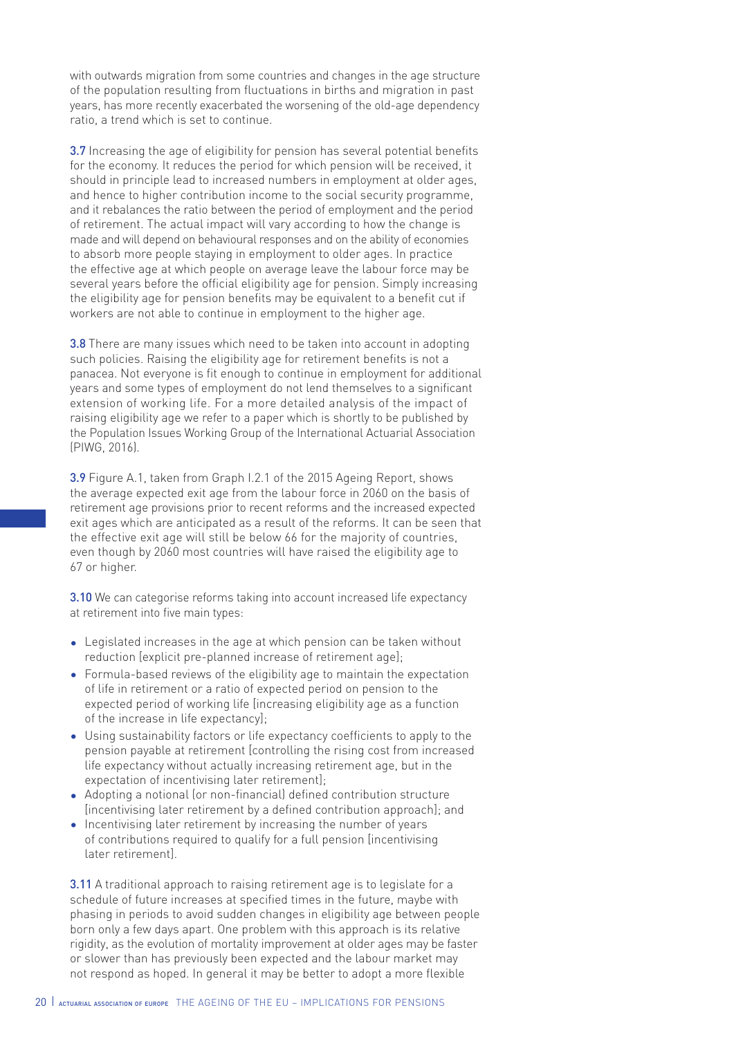with outwards migration from some countries and changes in the age structure of the population resulting from fluctuations in births and migration in past years, has more recently exacerbated the worsening of the old-age dependency ratio, a trend which is set to continue.

3.7 Increasing the age of eligibility for pension has several potential benefits for the economy. It reduces the period for which pension will be received, it should in principle lead to increased numbers in employment at older ages, and hence to higher contribution income to the social security programme, and it rebalances the ratio between the period of employment and the period of retirement. The actual impact will vary according to how the change is made and will depend on behavioural responses and on the ability of economies to absorb more people staying in employment to older ages. In practice the effective age at which people on average leave the labour force may be several years before the official eligibility age for pension. Simply increasing the eligibility age for pension benefits may be equivalent to a benefit cut if workers are not able to continue in employment to the higher age.

3.8 There are many issues which need to be taken into account in adopting such policies. Raising the eligibility age for retirement benefits is not a panacea. Not everyone is fit enough to continue in employment for additional years and some types of employment do not lend themselves to a significant extension of working life. For a more detailed analysis of the impact of raising eligibility age we refer to a paper which is shortly to be published by the Population Issues Working Group of the International Actuarial Association (PIWG, 2016).

3.9 Figure A.1, taken from Graph I.2.1 of the 2015 Ageing Report, shows the average expected exit age from the labour force in 2060 on the basis of retirement age provisions prior to recent reforms and the increased expected exit ages which are anticipated as a result of the reforms. It can be seen that the effective exit age will still be below 66 for the majority of countries, even though by 2060 most countries will have raised the eligibility age to 67 or higher.

3.10 We can categorise reforms taking into account increased life expectancy at retirement into five main types:

- Legislated increases in the age at which pension can be taken without reduction [explicit pre-planned increase of retirement age];
- Formula-based reviews of the eligibility age to maintain the expectation of life in retirement or a ratio of expected period on pension to the expected period of working life [increasing eligibility age as a function of the increase in life expectancy];
- Using sustainability factors or life expectancy coefficients to apply to the pension payable at retirement [controlling the rising cost from increased life expectancy without actually increasing retirement age, but in the expectation of incentivising later retirement];
- Adopting a notional (or non-financial) defined contribution structure [incentivising later retirement by a defined contribution approach]; and
- Incentivising later retirement by increasing the number of years of contributions required to qualify for a full pension [incentivising later retirement].

**3.11** A traditional approach to raising retirement age is to legislate for a schedule of future increases at specified times in the future, maybe with phasing in periods to avoid sudden changes in eligibility age between people born only a few days apart. One problem with this approach is its relative rigidity, as the evolution of mortality improvement at older ages may be faster or slower than has previously been expected and the labour market may not respond as hoped. In general it may be better to adopt a more flexible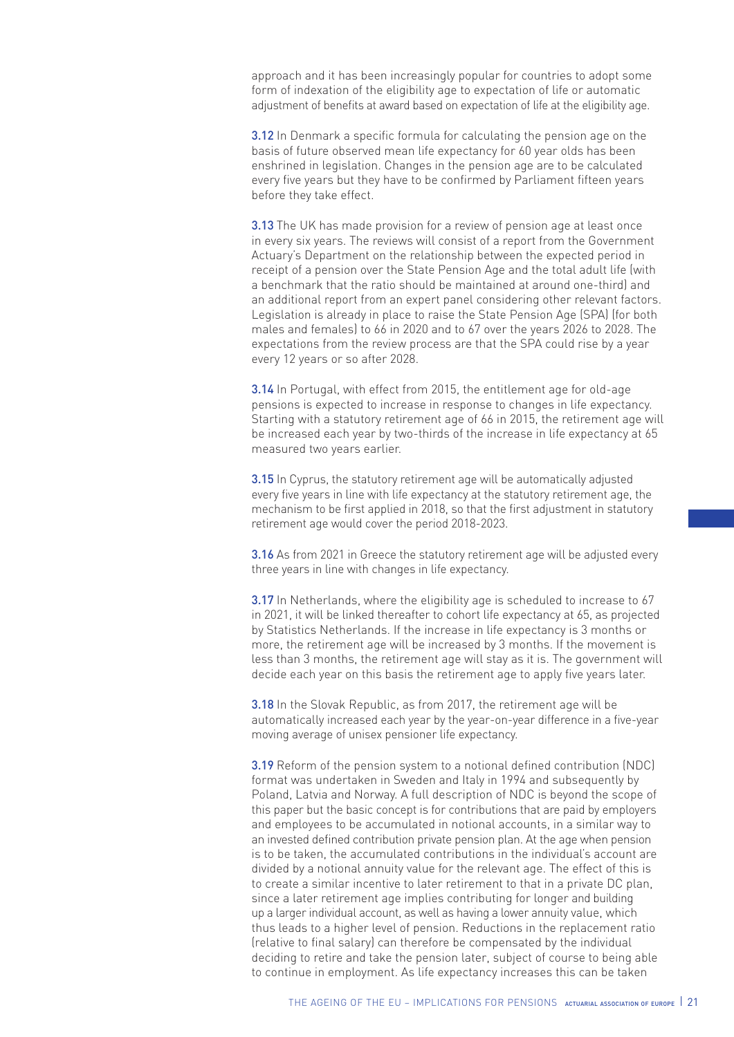approach and it has been increasingly popular for countries to adopt some form of indexation of the eligibility age to expectation of life or automatic adjustment of benefits at award based on expectation of life at the eligibility age.

3.12 In Denmark a specific formula for calculating the pension age on the basis of future observed mean life expectancy for 60 year olds has been enshrined in legislation. Changes in the pension age are to be calculated every five years but they have to be confirmed by Parliament fifteen years before they take effect.

3.13 The UK has made provision for a review of pension age at least once in every six years. The reviews will consist of a report from the Government Actuary's Department on the relationship between the expected period in receipt of a pension over the State Pension Age and the total adult life (with a benchmark that the ratio should be maintained at around one-third) and an additional report from an expert panel considering other relevant factors. Legislation is already in place to raise the State Pension Age (SPA) (for both males and females) to 66 in 2020 and to 67 over the years 2026 to 2028. The expectations from the review process are that the SPA could rise by a year every 12 years or so after 2028.

3.14 In Portugal, with effect from 2015, the entitlement age for old-age pensions is expected to increase in response to changes in life expectancy. Starting with a statutory retirement age of 66 in 2015, the retirement age will be increased each year by two-thirds of the increase in life expectancy at 65 measured two years earlier.

**3.15** In Cyprus, the statutory retirement age will be automatically adjusted every five years in line with life expectancy at the statutory retirement age, the mechanism to be first applied in 2018, so that the first adjustment in statutory retirement age would cover the period 2018-2023.

3.16 As from 2021 in Greece the statutory retirement age will be adjusted every three years in line with changes in life expectancy.

3.17 In Netherlands, where the eligibility age is scheduled to increase to 67 in 2021, it will be linked thereafter to cohort life expectancy at 65, as projected by Statistics Netherlands. If the increase in life expectancy is 3 months or more, the retirement age will be increased by 3 months. If the movement is less than 3 months, the retirement age will stay as it is. The government will decide each year on this basis the retirement age to apply five years later.

3.18 In the Slovak Republic, as from 2017, the retirement age will be automatically increased each year by the year-on-year difference in a five-year moving average of unisex pensioner life expectancy.

3.19 Reform of the pension system to a notional defined contribution (NDC) format was undertaken in Sweden and Italy in 1994 and subsequently by Poland, Latvia and Norway. A full description of NDC is beyond the scope of this paper but the basic concept is for contributions that are paid by employers and employees to be accumulated in notional accounts, in a similar way to an invested defined contribution private pension plan. At the age when pension is to be taken, the accumulated contributions in the individual's account are divided by a notional annuity value for the relevant age. The effect of this is to create a similar incentive to later retirement to that in a private DC plan, since a later retirement age implies contributing for longer and building up a larger individual account, as well as having a lower annuity value, which thus leads to a higher level of pension. Reductions in the replacement ratio (relative to final salary) can therefore be compensated by the individual deciding to retire and take the pension later, subject of course to being able to continue in employment. As life expectancy increases this can be taken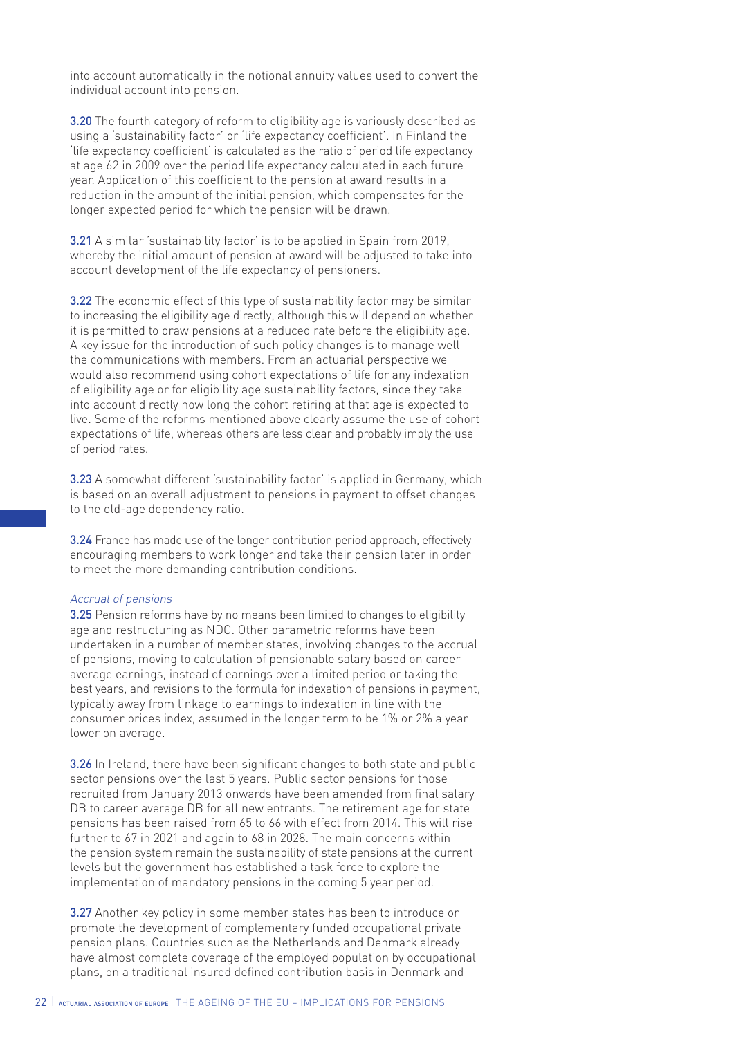into account automatically in the notional annuity values used to convert the individual account into pension.

3.20 The fourth category of reform to eligibility age is variously described as using a 'sustainability factor' or 'life expectancy coefficient'. In Finland the 'life expectancy coefficient' is calculated as the ratio of period life expectancy at age 62 in 2009 over the period life expectancy calculated in each future year. Application of this coefficient to the pension at award results in a reduction in the amount of the initial pension, which compensates for the longer expected period for which the pension will be drawn.

3.21 A similar 'sustainability factor' is to be applied in Spain from 2019, whereby the initial amount of pension at award will be adjusted to take into account development of the life expectancy of pensioners.

3.22 The economic effect of this type of sustainability factor may be similar to increasing the eligibility age directly, although this will depend on whether it is permitted to draw pensions at a reduced rate before the eligibility age. A key issue for the introduction of such policy changes is to manage well the communications with members. From an actuarial perspective we would also recommend using cohort expectations of life for any indexation of eligibility age or for eligibility age sustainability factors, since they take into account directly how long the cohort retiring at that age is expected to live. Some of the reforms mentioned above clearly assume the use of cohort expectations of life, whereas others are less clear and probably imply the use of period rates.

3.23 A somewhat different 'sustainability factor' is applied in Germany, which is based on an overall adjustment to pensions in payment to offset changes to the old-age dependency ratio.

3.24 France has made use of the longer contribution period approach, effectively encouraging members to work longer and take their pension later in order to meet the more demanding contribution conditions.

# Accrual of pensions

3.25 Pension reforms have by no means been limited to changes to eligibility age and restructuring as NDC. Other parametric reforms have been undertaken in a number of member states, involving changes to the accrual of pensions, moving to calculation of pensionable salary based on career average earnings, instead of earnings over a limited period or taking the best years, and revisions to the formula for indexation of pensions in payment, typically away from linkage to earnings to indexation in line with the consumer prices index, assumed in the longer term to be 1% or 2% a year lower on average.

3.26 In Ireland, there have been significant changes to both state and public sector pensions over the last 5 years. Public sector pensions for those recruited from January 2013 onwards have been amended from final salary DB to career average DB for all new entrants. The retirement age for state pensions has been raised from 65 to 66 with effect from 2014. This will rise further to 67 in 2021 and again to 68 in 2028. The main concerns within the pension system remain the sustainability of state pensions at the current levels but the government has established a task force to explore the implementation of mandatory pensions in the coming 5 year period.

3.27 Another key policy in some member states has been to introduce or promote the development of complementary funded occupational private pension plans. Countries such as the Netherlands and Denmark already have almost complete coverage of the employed population by occupational plans, on a traditional insured defined contribution basis in Denmark and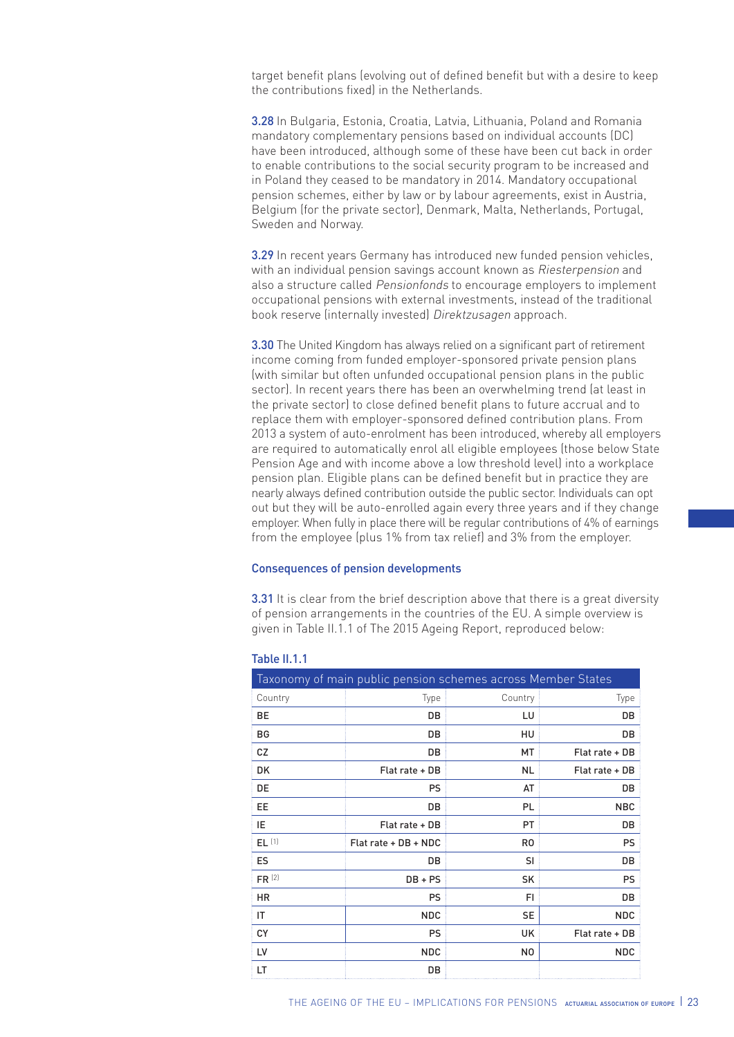target benefit plans (evolving out of defined benefit but with a desire to keep the contributions fixed) in the Netherlands.

3.28 In Bulgaria, Estonia, Croatia, Latvia, Lithuania, Poland and Romania mandatory complementary pensions based on individual accounts (DC) have been introduced, although some of these have been cut back in order to enable contributions to the social security program to be increased and in Poland they ceased to be mandatory in 2014. Mandatory occupational pension schemes, either by law or by labour agreements, exist in Austria, Belgium (for the private sector), Denmark, Malta, Netherlands, Portugal, Sweden and Norway.

3.29 In recent years Germany has introduced new funded pension vehicles, with an individual pension savings account known as Riesterpension and also a structure called Pensionfonds to encourage employers to implement occupational pensions with external investments, instead of the traditional book reserve (internally invested) Direktzusagen approach.

**3.30** The United Kingdom has always relied on a significant part of retirement income coming from funded employer-sponsored private pension plans (with similar but often unfunded occupational pension plans in the public sector). In recent years there has been an overwhelming trend (at least in the private sector) to close defined benefit plans to future accrual and to replace them with employer-sponsored defined contribution plans. From 2013 a system of auto-enrolment has been introduced, whereby all employers are required to automatically enrol all eligible employees (those below State Pension Age and with income above a low threshold level) into a workplace pension plan. Eligible plans can be defined benefit but in practice they are nearly always defined contribution outside the public sector. Individuals can opt out but they will be auto-enrolled again every three years and if they change employer. When fully in place there will be regular contributions of 4% of earnings from the employee (plus 1% from tax relief) and 3% from the employer.

#### Consequences of pension developments

3.31 It is clear from the brief description above that there is a great diversity of pension arrangements in the countries of the EU. A simple overview is given in Table II.1.1 of The 2015 Ageing Report, reproduced below:

| Taxonomy of main public pension schemes across Member States |                      |                |                |  |  |
|--------------------------------------------------------------|----------------------|----------------|----------------|--|--|
| Country                                                      | Type                 | Country        | Type           |  |  |
| BЕ                                                           | DB                   | LU             | DB             |  |  |
| BG                                                           | DB                   | HU             | DB             |  |  |
| СZ                                                           | DB                   | MT             | Flat rate + DB |  |  |
| DK                                                           | Flat rate + DB       | <b>NL</b>      | Flat rate + DB |  |  |
| DE                                                           | PS                   | AT             | DB             |  |  |
| EE                                                           | DB                   | PL             | <b>NBC</b>     |  |  |
| IE                                                           | Flat rate + DB       | PT             | DB             |  |  |
| EL <sup>[1]</sup>                                            | Flat rate + DB + NDC | R <sub>0</sub> | PS             |  |  |
| ES                                                           | DB                   | SI             | DB             |  |  |
| FR <sup>(2)</sup>                                            | $DB + PS$            | SK             | PS             |  |  |
| ΗR                                                           | PS                   | FI             | DB             |  |  |
| IT                                                           | <b>NDC</b>           | <b>SE</b>      | <b>NDC</b>     |  |  |
| CY                                                           | PS                   | UK             | Flat rate + DB |  |  |
| LV                                                           | <b>NDC</b>           | N <sub>0</sub> | <b>NDC</b>     |  |  |
| LT                                                           | DB                   |                |                |  |  |

#### Table II.1.1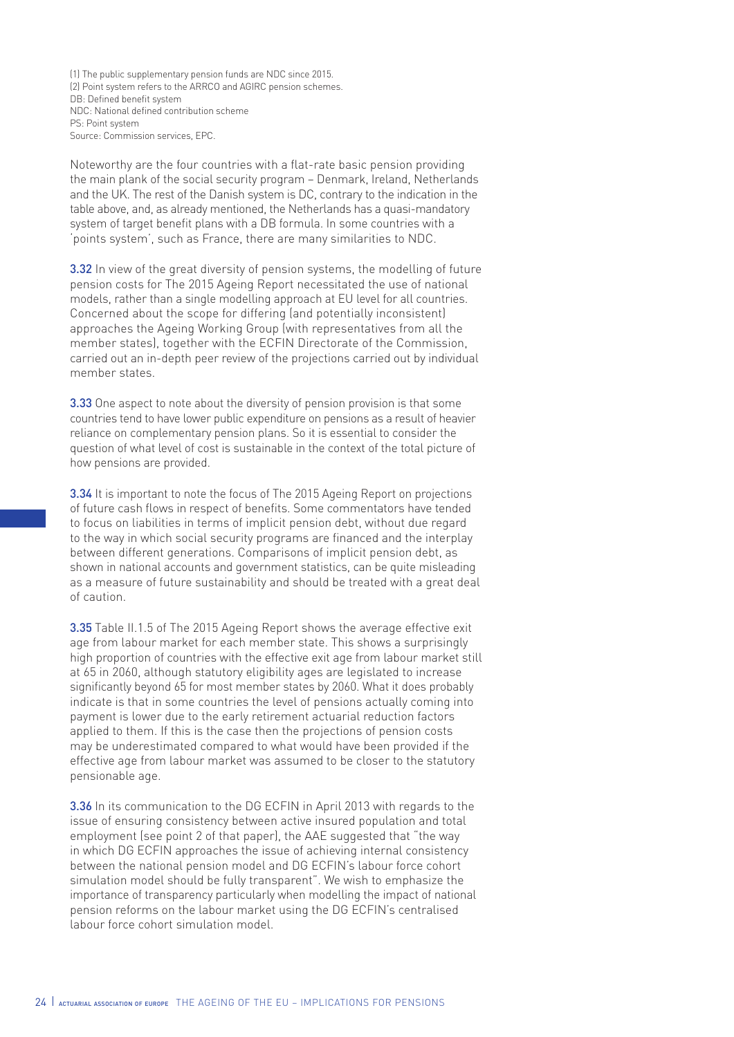(1) The public supplementary pension funds are NDC since 2015. (2) Point system refers to the ARRCO and AGIRC pension schemes. DB: Defined benefit system NDC: National defined contribution scheme PS: Point system Source: Commission services, EPC.

Noteworthy are the four countries with a flat-rate basic pension providing the main plank of the social security program – Denmark, Ireland, Netherlands and the UK. The rest of the Danish system is DC, contrary to the indication in the table above, and, as already mentioned, the Netherlands has a quasi-mandatory system of target benefit plans with a DB formula. In some countries with a 'points system', such as France, there are many similarities to NDC.

3.32 In view of the great diversity of pension systems, the modelling of future pension costs for The 2015 Ageing Report necessitated the use of national models, rather than a single modelling approach at EU level for all countries. Concerned about the scope for differing (and potentially inconsistent) approaches the Ageing Working Group (with representatives from all the member states), together with the ECFIN Directorate of the Commission, carried out an in-depth peer review of the projections carried out by individual member states.

**3.33** One aspect to note about the diversity of pension provision is that some countries tend to have lower public expenditure on pensions as a result of heavier reliance on complementary pension plans. So it is essential to consider the question of what level of cost is sustainable in the context of the total picture of how pensions are provided.

3.34 It is important to note the focus of The 2015 Ageing Report on projections of future cash flows in respect of benefits. Some commentators have tended to focus on liabilities in terms of implicit pension debt, without due regard to the way in which social security programs are financed and the interplay between different generations. Comparisons of implicit pension debt, as shown in national accounts and government statistics, can be quite misleading as a measure of future sustainability and should be treated with a great deal of caution.

3.35 Table II.1.5 of The 2015 Ageing Report shows the average effective exit age from labour market for each member state. This shows a surprisingly high proportion of countries with the effective exit age from labour market still at 65 in 2060, although statutory eligibility ages are legislated to increase significantly beyond 65 for most member states by 2060. What it does probably indicate is that in some countries the level of pensions actually coming into payment is lower due to the early retirement actuarial reduction factors applied to them. If this is the case then the projections of pension costs may be underestimated compared to what would have been provided if the effective age from labour market was assumed to be closer to the statutory pensionable age.

3.36 In its communication to the DG ECFIN in April 2013 with regards to the issue of ensuring consistency between active insured population and total employment (see point 2 of that paper), the AAE suggested that "the way in which DG ECFIN approaches the issue of achieving internal consistency between the national pension model and DG ECFIN's labour force cohort simulation model should be fully transparent". We wish to emphasize the importance of transparency particularly when modelling the impact of national pension reforms on the labour market using the DG ECFIN's centralised labour force cohort simulation model.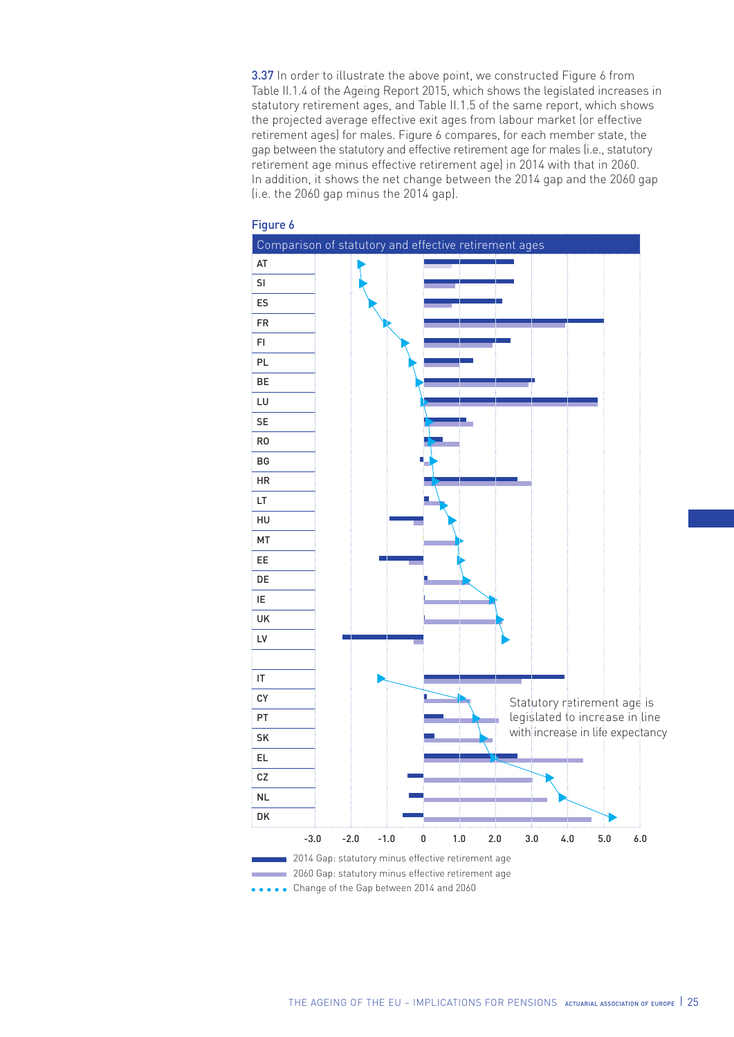3.37 In order to illustrate the above point, we constructed Figure 6 from Table II.1.4 of the Ageing Report 2015, which shows the legislated increases in statutory retirement ages, and Table II.1.5 of the same report, which shows the projected average effective exit ages from labour market (or effective retirement ages) for males. Figure 6 compares, for each member state, the gap between the statutory and effective retirement age for males (i.e., statutory retirement age minus effective retirement age) in 2014 with that in 2060. In addition, it shows the net change between the 2014 gap and the 2060 gap (i.e. the 2060 gap minus the 2014 gap).



## Figure 6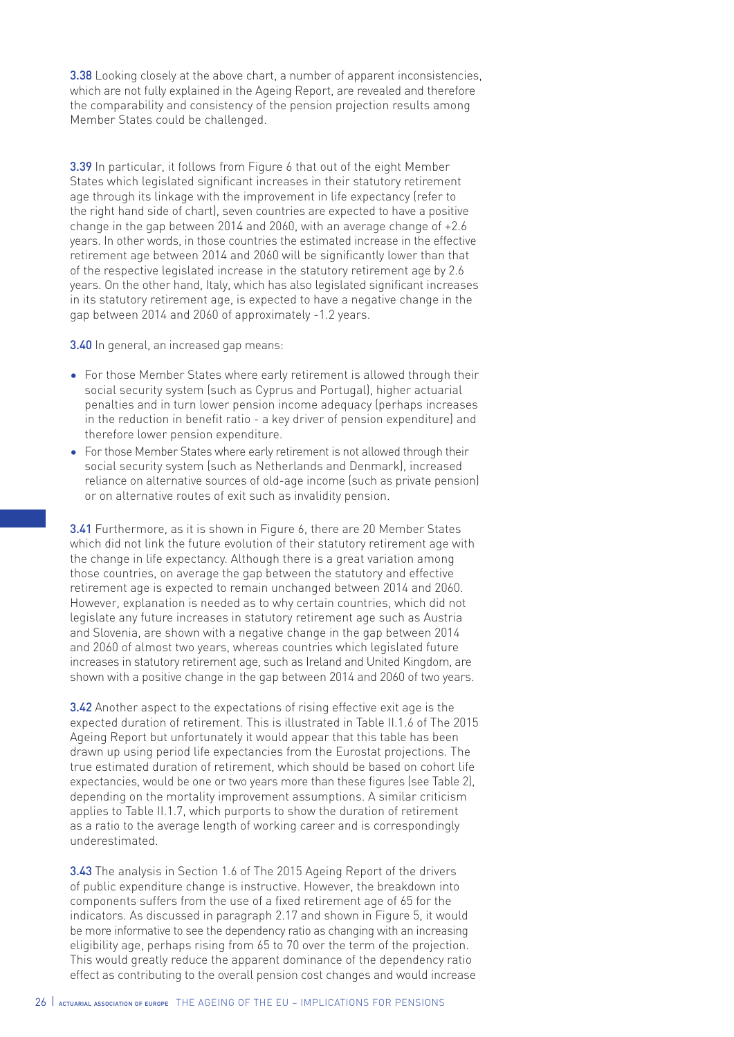3.38 Looking closely at the above chart, a number of apparent inconsistencies, which are not fully explained in the Ageing Report, are revealed and therefore the comparability and consistency of the pension projection results among Member States could be challenged.

3.39 In particular, it follows from Figure 6 that out of the eight Member States which legislated significant increases in their statutory retirement age through its linkage with the improvement in life expectancy (refer to the right hand side of chart), seven countries are expected to have a positive change in the gap between 2014 and 2060, with an average change of +2.6 years. In other words, in those countries the estimated increase in the effective retirement age between 2014 and 2060 will be significantly lower than that of the respective legislated increase in the statutory retirement age by 2.6 years. On the other hand, Italy, which has also legislated significant increases in its statutory retirement age, is expected to have a negative change in the gap between 2014 and 2060 of approximately -1.2 years.

3.40 In general, an increased gap means:

- For those Member States where early retirement is allowed through their social security system (such as Cyprus and Portugal), higher actuarial penalties and in turn lower pension income adequacy (perhaps increases in the reduction in benefit ratio - a key driver of pension expenditure) and therefore lower pension expenditure.
- For those Member States where early retirement is not allowed through their social security system (such as Netherlands and Denmark), increased reliance on alternative sources of old-age income (such as private pension) or on alternative routes of exit such as invalidity pension.

3.41 Furthermore, as it is shown in Figure 6, there are 20 Member States which did not link the future evolution of their statutory retirement age with the change in life expectancy. Although there is a great variation among those countries, on average the gap between the statutory and effective retirement age is expected to remain unchanged between 2014 and 2060. However, explanation is needed as to why certain countries, which did not legislate any future increases in statutory retirement age such as Austria and Slovenia, are shown with a negative change in the gap between 2014 and 2060 of almost two years, whereas countries which legislated future increases in statutory retirement age, such as Ireland and United Kingdom, are shown with a positive change in the gap between 2014 and 2060 of two years.

3.42 Another aspect to the expectations of rising effective exit age is the expected duration of retirement. This is illustrated in Table II.1.6 of The 2015 Ageing Report but unfortunately it would appear that this table has been drawn up using period life expectancies from the Eurostat projections. The true estimated duration of retirement, which should be based on cohort life expectancies, would be one or two years more than these figures (see Table 2), depending on the mortality improvement assumptions. A similar criticism applies to Table II.1.7, which purports to show the duration of retirement as a ratio to the average length of working career and is correspondingly underestimated.

3.43 The analysis in Section 1.6 of The 2015 Ageing Report of the drivers of public expenditure change is instructive. However, the breakdown into components suffers from the use of a fixed retirement age of 65 for the indicators. As discussed in paragraph 2.17 and shown in Figure 5, it would be more informative to see the dependency ratio as changing with an increasing eligibility age, perhaps rising from 65 to 70 over the term of the projection. This would greatly reduce the apparent dominance of the dependency ratio effect as contributing to the overall pension cost changes and would increase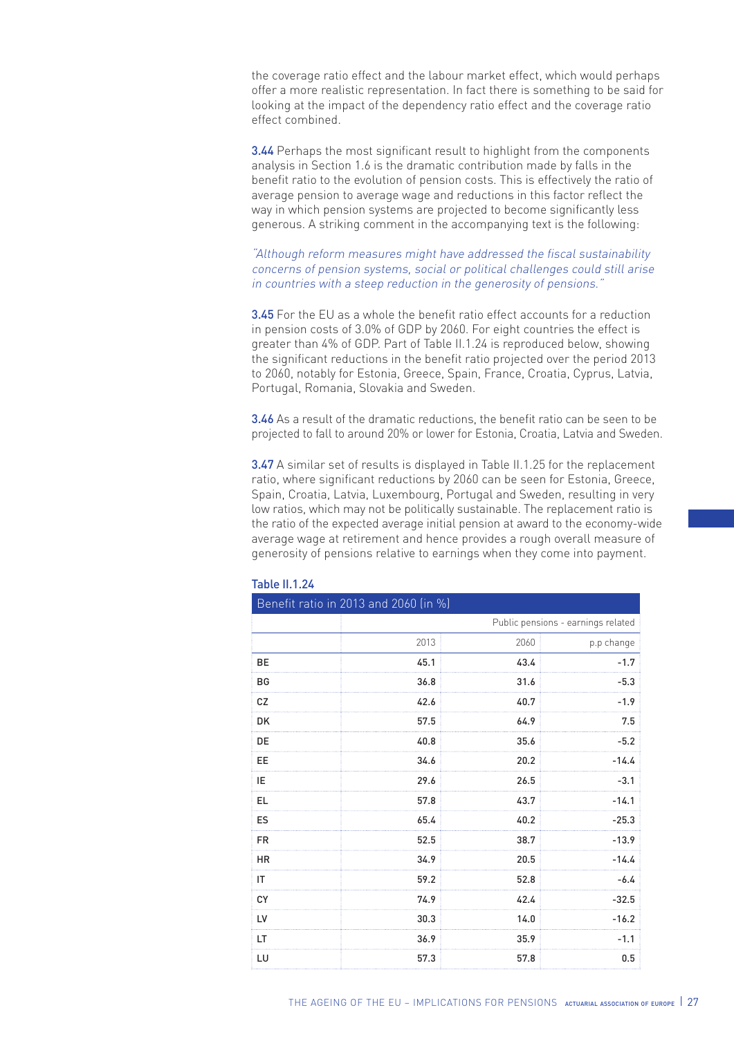the coverage ratio effect and the labour market effect, which would perhaps offer a more realistic representation. In fact there is something to be said for looking at the impact of the dependency ratio effect and the coverage ratio effect combined.

**3.44** Perhaps the most significant result to highlight from the components analysis in Section 1.6 is the dramatic contribution made by falls in the benefit ratio to the evolution of pension costs. This is effectively the ratio of average pension to average wage and reductions in this factor reflect the way in which pension systems are projected to become significantly less generous. A striking comment in the accompanying text is the following:

# "Although reform measures might have addressed the fiscal sustainability concerns of pension systems, social or political challenges could still arise in countries with a steep reduction in the generosity of pensions."

3.45 For the EU as a whole the benefit ratio effect accounts for a reduction in pension costs of 3.0% of GDP by 2060. For eight countries the effect is greater than 4% of GDP. Part of Table II.1.24 is reproduced below, showing the significant reductions in the benefit ratio projected over the period 2013 to 2060, notably for Estonia, Greece, Spain, France, Croatia, Cyprus, Latvia, Portugal, Romania, Slovakia and Sweden.

3.46 As a result of the dramatic reductions, the benefit ratio can be seen to be projected to fall to around 20% or lower for Estonia, Croatia, Latvia and Sweden.

3.47 A similar set of results is displayed in Table II.1.25 for the replacement ratio, where significant reductions by 2060 can be seen for Estonia, Greece, Spain, Croatia, Latvia, Luxembourg, Portugal and Sweden, resulting in very low ratios, which may not be politically sustainable. The replacement ratio is the ratio of the expected average initial pension at award to the economy-wide average wage at retirement and hence provides a rough overall measure of generosity of pensions relative to earnings when they come into payment.

| Benefit ratio in 2013 and 2060 (in %) |      |      |                                    |  |
|---------------------------------------|------|------|------------------------------------|--|
|                                       |      |      | Public pensions - earnings related |  |
|                                       | 2013 | 2060 | p.p change                         |  |
| BE                                    | 45.1 | 43.4 | $-1.7$                             |  |
| BG                                    | 36.8 | 31.6 | $-5.3$                             |  |
| CZ                                    | 42.6 | 40.7 | $-1.9$                             |  |
| DK                                    | 57.5 | 64.9 | 7.5                                |  |
| DE                                    | 40.8 | 35.6 | $-5.2$                             |  |
| EE                                    | 34.6 | 20.2 | $-14.4$                            |  |
| IE                                    | 29.6 | 26.5 | $-3.1$                             |  |
| EL                                    | 57.8 | 43.7 | $-14.1$                            |  |
| ES                                    | 65.4 | 40.2 | $-25.3$                            |  |
| <b>FR</b>                             | 52.5 | 38.7 | $-13.9$                            |  |
| <b>HR</b>                             | 34.9 | 20.5 | $-14.4$                            |  |
| IT                                    | 59.2 | 52.8 | $-6.4$                             |  |
| CY                                    | 74.9 | 42.4 | $-32.5$                            |  |
| LV                                    | 30.3 | 14.0 | $-16.2$                            |  |
| LT                                    | 36.9 | 35.9 | $-1.1$                             |  |
| LU                                    | 57.3 | 57.8 | 0.5                                |  |

#### Table II.1.24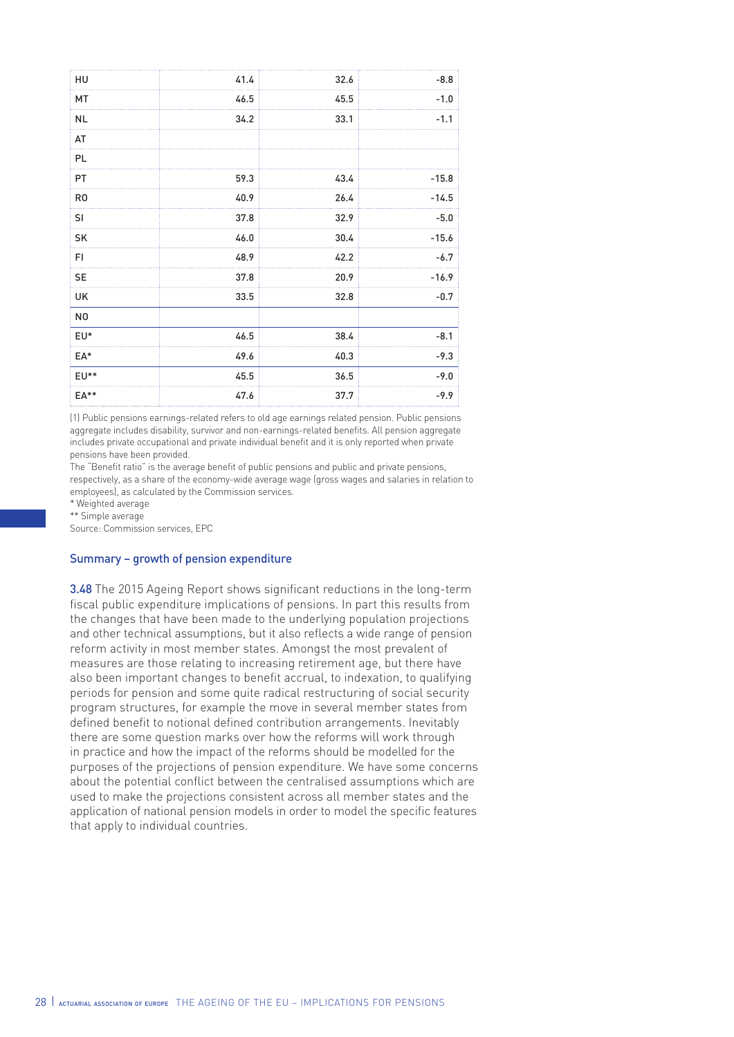| HU             | 41.4 | 32.6 | $-8.8$  |
|----------------|------|------|---------|
| MT             | 46.5 | 45.5 | $-1.0$  |
| <b>NL</b>      | 34.2 | 33.1 | $-1.1$  |
| AT             |      |      |         |
| <b>PL</b>      |      |      |         |
| <b>PT</b>      | 59.3 | 43.4 | $-15.8$ |
| R <sub>0</sub> | 40.9 | 26.4 | $-14.5$ |
| SI             | 37.8 | 32.9 | $-5.0$  |
| SK             | 46.0 | 30.4 | $-15.6$ |
| FI.            | 48.9 | 42.2 | $-6.7$  |
| <b>SE</b>      | 37.8 | 20.9 | $-16.9$ |
| <b>UK</b>      | 33.5 | 32.8 | $-0.7$  |
| N <sub>0</sub> |      |      |         |
| EU*            | 46.5 | 38.4 | $-8.1$  |
| EA*            | 49.6 | 40.3 | $-9.3$  |
| $EU**$         | 45.5 | 36.5 | $-9.0$  |
| EA**           | 47.6 | 37.7 | $-9.9$  |

(1) Public pensions earnings-related refers to old age earnings related pension. Public pensions aggregate includes disability, survivor and non-earnings-related benefits. All pension aggregate includes private occupational and private individual benefit and it is only reported when private pensions have been provided.

The "Benefit ratio" is the average benefit of public pensions and public and private pensions, respectively, as a share of the economy-wide average wage (gross wages and salaries in relation to employees), as calculated by the Commission services.

\* Weighted average

\*\* Simple average

Source: Commission services, EPC

#### Summary – growth of pension expenditure

3.48 The 2015 Ageing Report shows significant reductions in the long-term fiscal public expenditure implications of pensions. In part this results from the changes that have been made to the underlying population projections and other technical assumptions, but it also reflects a wide range of pension reform activity in most member states. Amongst the most prevalent of measures are those relating to increasing retirement age, but there have also been important changes to benefit accrual, to indexation, to qualifying periods for pension and some quite radical restructuring of social security program structures, for example the move in several member states from defined benefit to notional defined contribution arrangements. Inevitably there are some question marks over how the reforms will work through in practice and how the impact of the reforms should be modelled for the purposes of the projections of pension expenditure. We have some concerns about the potential conflict between the centralised assumptions which are used to make the projections consistent across all member states and the application of national pension models in order to model the specific features that apply to individual countries.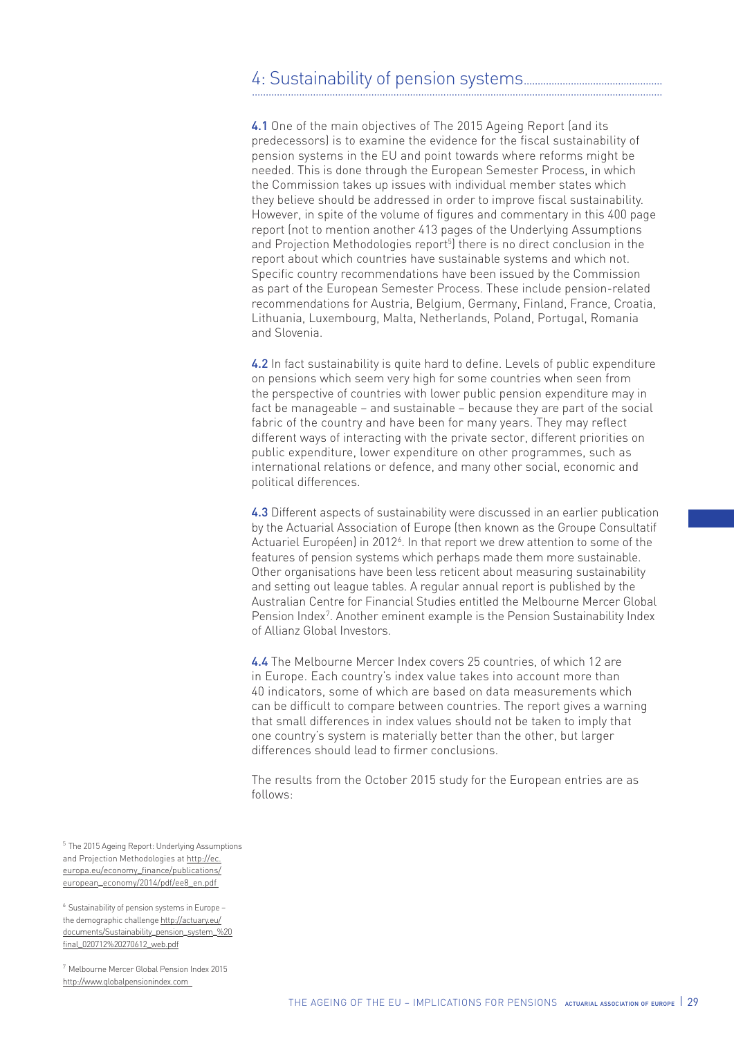# 4: Sustainability of pension systems.................................................. ....................................................................................................................................................

4.1 One of the main objectives of The 2015 Ageing Report (and its predecessors) is to examine the evidence for the fiscal sustainability of pension systems in the EU and point towards where reforms might be needed. This is done through the European Semester Process, in which the Commission takes up issues with individual member states which they believe should be addressed in order to improve fiscal sustainability. However, in spite of the volume of figures and commentary in this 400 page report (not to mention another 413 pages of the Underlying Assumptions and Projection Methodologies report<sup>5</sup>) there is no direct conclusion in the report about which countries have sustainable systems and which not. Specific country recommendations have been issued by the Commission as part of the European Semester Process. These include pension-related recommendations for Austria, Belgium, Germany, Finland, France, Croatia, Lithuania, Luxembourg, Malta, Netherlands, Poland, Portugal, Romania and Slovenia.

4.2 In fact sustainability is quite hard to define. Levels of public expenditure on pensions which seem very high for some countries when seen from the perspective of countries with lower public pension expenditure may in fact be manageable – and sustainable – because they are part of the social fabric of the country and have been for many years. They may reflect different ways of interacting with the private sector, different priorities on public expenditure, lower expenditure on other programmes, such as international relations or defence, and many other social, economic and political differences.

4.3 Different aspects of sustainability were discussed in an earlier publication by the Actuarial Association of Europe (then known as the Groupe Consultatif Actuariel Européen) in 2012<sup>6</sup>. In that report we drew attention to some of the features of pension systems which perhaps made them more sustainable. Other organisations have been less reticent about measuring sustainability and setting out league tables. A regular annual report is published by the Australian Centre for Financial Studies entitled the Melbourne Mercer Global Pension Index<sup>7</sup>. Another eminent example is the Pension Sustainability Index of Allianz Global Investors.

4.4 The Melbourne Mercer Index covers 25 countries, of which 12 are in Europe. Each country's index value takes into account more than 40 indicators, some of which are based on data measurements which can be difficult to compare between countries. The report gives a warning that small differences in index values should not be taken to imply that one country's system is materially better than the other, but larger differences should lead to firmer conclusions.

The results from the October 2015 study for the European entries are as follows:

<sup>5</sup> The 2015 Ageing Report: Underlying Assumptions and Projection Methodologies at http://ec. europa.eu/economy\_finance/publications/ european\_economy/2014/pdf/ee8\_en.pdf

<sup>6</sup> Sustainability of pension systems in Europe – the demographic challenge http://actuary.eu/ documents/Sustainability\_pension\_system\_%20 final\_020712%20270612\_web.pdf

<sup>7</sup> Melbourne Mercer Global Pension Index 2015 http://www.globalpensionindex.com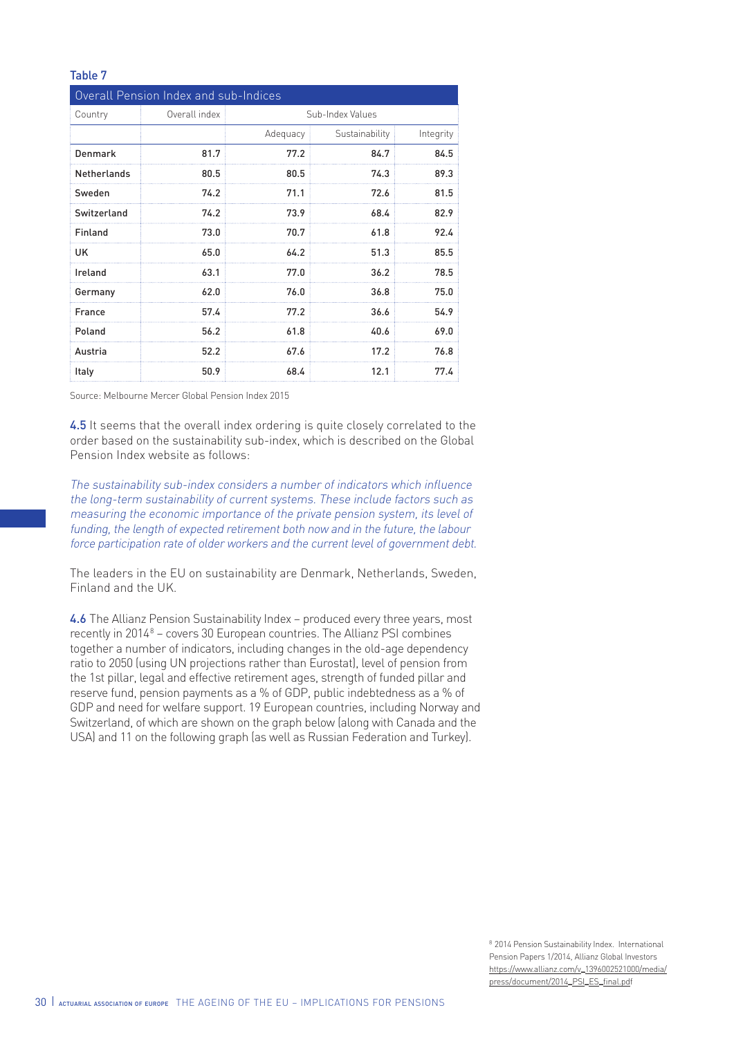# Table 7

| Overall Pension Index and sub-Indices |               |                  |                |           |  |  |  |  |  |
|---------------------------------------|---------------|------------------|----------------|-----------|--|--|--|--|--|
| Country                               | Overall index | Sub-Index Values |                |           |  |  |  |  |  |
|                                       |               | Adequacy         | Sustainability | Integrity |  |  |  |  |  |
| <b>Denmark</b>                        | 81.7          | 77.2             | 84.7           | 84.5      |  |  |  |  |  |
| <b>Netherlands</b>                    | 80.5          | 80.5             | 74.3           | 89.3      |  |  |  |  |  |
| Sweden                                | 74.2          | 71.1             | 72.6           | 81.5      |  |  |  |  |  |
| Switzerland                           | 74.2          | 73.9             | 68.4           | 82.9      |  |  |  |  |  |
| Finland                               | 73.0          | 70.7             | 61.8           | 92.4      |  |  |  |  |  |
| UK                                    | 65.0          | 64.2             | 51.3           | 85.5      |  |  |  |  |  |
| Ireland                               | 63.1          | 77.0             | 36.2           | 78.5      |  |  |  |  |  |
| Germany                               | 62.0          | 76.0             | 36.8           | 75.0      |  |  |  |  |  |
| France                                | 57.4          | 77.2             | 36.6           | 54.9      |  |  |  |  |  |
| Poland                                | 56.2          | 61.8             | 40.6           | 69.0      |  |  |  |  |  |
| Austria                               | 52.2          | 67.6             | 17.2           | 76.8      |  |  |  |  |  |
| Italy                                 | 50.9          | 68.4             | 12.1           | 77.4      |  |  |  |  |  |

Source: Melbourne Mercer Global Pension Index 2015

4.5 It seems that the overall index ordering is quite closely correlated to the order based on the sustainability sub-index, which is described on the Global Pension Index website as follows:

The sustainability sub-index considers a number of indicators which influence the long-term sustainability of current systems. These include factors such as measuring the economic importance of the private pension system, its level of funding, the length of expected retirement both now and in the future, the labour force participation rate of older workers and the current level of government debt.

The leaders in the EU on sustainability are Denmark, Netherlands, Sweden, Finland and the UK.

4.6 The Allianz Pension Sustainability Index – produced every three years, most recently in 2014<sup>8</sup> – covers 30 European countries. The Allianz PSI combines together a number of indicators, including changes in the old-age dependency ratio to 2050 (using UN projections rather than Eurostat), level of pension from the 1st pillar, legal and effective retirement ages, strength of funded pillar and reserve fund, pension payments as a % of GDP, public indebtedness as a % of GDP and need for welfare support. 19 European countries, including Norway and Switzerland, of which are shown on the graph below (along with Canada and the USA) and 11 on the following graph (as well as Russian Federation and Turkey).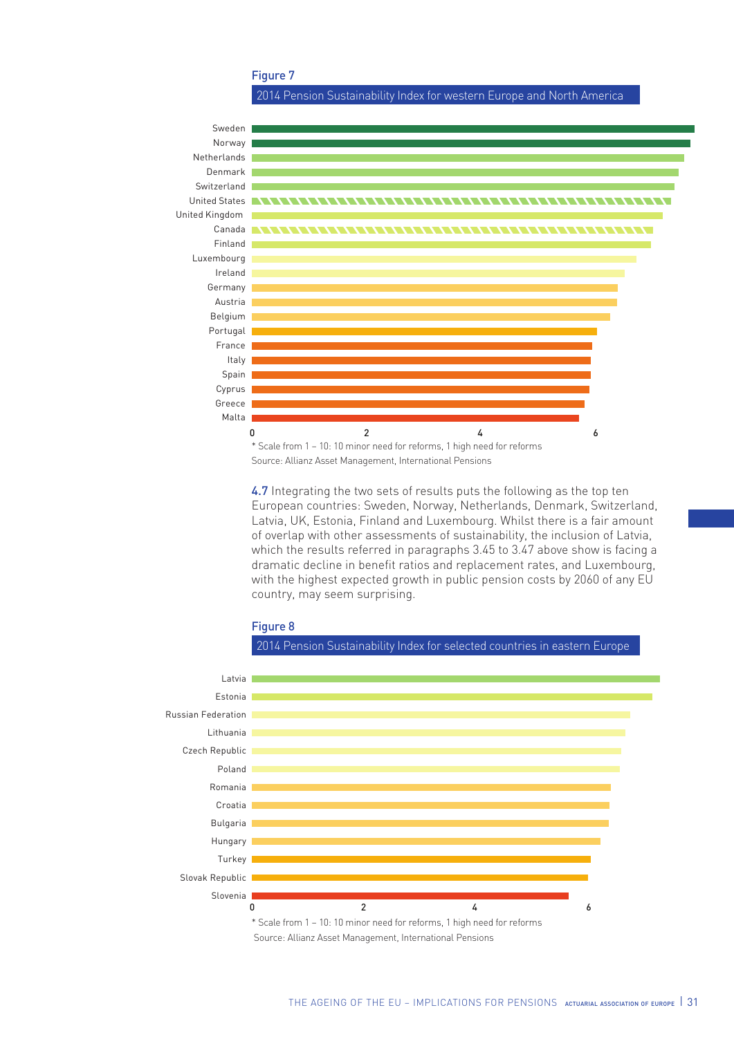Figure 7



4.7 Integrating the two sets of results puts the following as the top ten European countries: Sweden, Norway, Netherlands, Denmark, Switzerland, Latvia, UK, Estonia, Finland and Luxembourg. Whilst there is a fair amount of overlap with other assessments of sustainability, the inclusion of Latvia, which the results referred in paragraphs 3.45 to 3.47 above show is facing a dramatic decline in benefit ratios and replacement rates, and Luxembourg, with the highest expected growth in public pension costs by 2060 of any EU country, may seem surprising.





Figure 4:2014 Pension Sustainability Index for selected countries in eastern Europe 2014 Pension Sustainability Index for selected countries in eastern Europe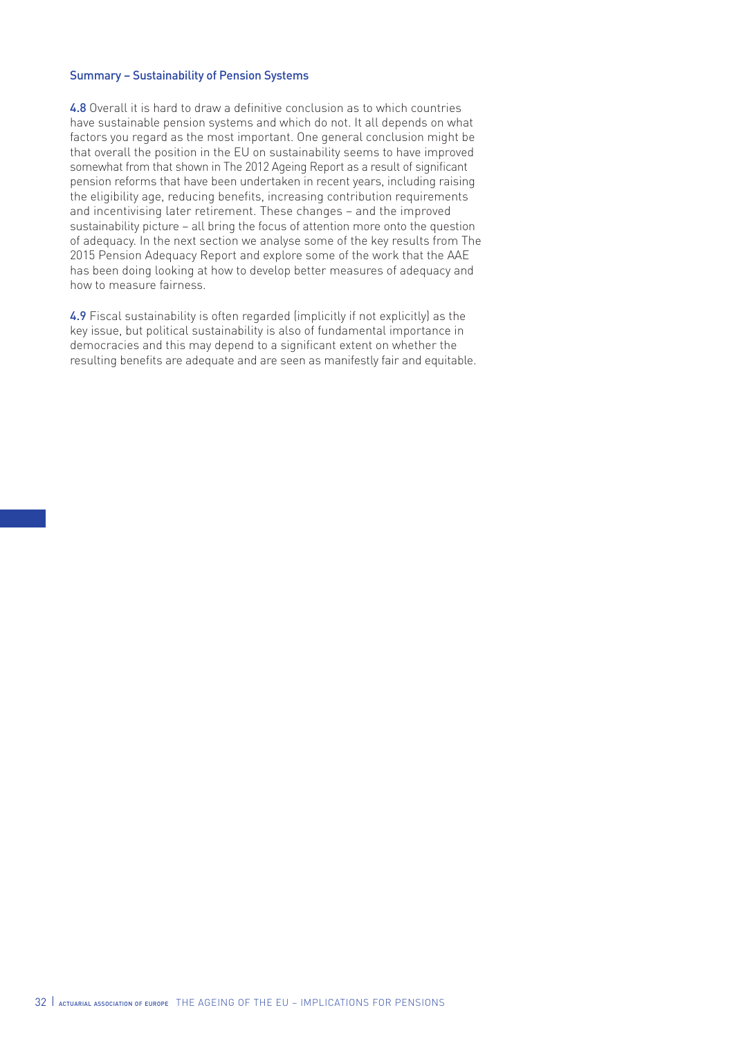#### Summary – Sustainability of Pension Systems

4.8 Overall it is hard to draw a definitive conclusion as to which countries have sustainable pension systems and which do not. It all depends on what factors you regard as the most important. One general conclusion might be that overall the position in the EU on sustainability seems to have improved somewhat from that shown in The 2012 Ageing Report as a result of significant pension reforms that have been undertaken in recent years, including raising the eligibility age, reducing benefits, increasing contribution requirements and incentivising later retirement. These changes – and the improved sustainability picture – all bring the focus of attention more onto the question of adequacy. In the next section we analyse some of the key results from The 2015 Pension Adequacy Report and explore some of the work that the AAE has been doing looking at how to develop better measures of adequacy and how to measure fairness.

4.9 Fiscal sustainability is often regarded (implicitly if not explicitly) as the key issue, but political sustainability is also of fundamental importance in democracies and this may depend to a significant extent on whether the resulting benefits are adequate and are seen as manifestly fair and equitable.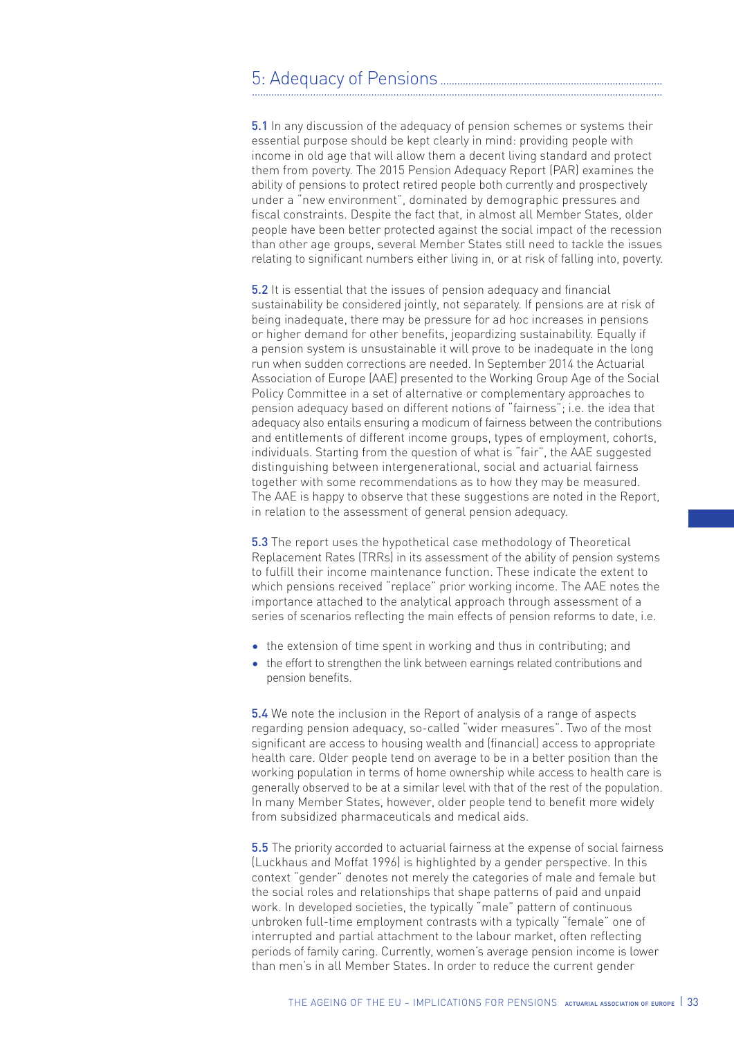# 5: Adequacy of Pensions................................................................................ ....................................................................................................................................................

5.1 In any discussion of the adequacy of pension schemes or systems their essential purpose should be kept clearly in mind: providing people with income in old age that will allow them a decent living standard and protect them from poverty. The 2015 Pension Adequacy Report (PAR) examines the ability of pensions to protect retired people both currently and prospectively under a "new environment", dominated by demographic pressures and fiscal constraints. Despite the fact that, in almost all Member States, older people have been better protected against the social impact of the recession than other age groups, several Member States still need to tackle the issues relating to significant numbers either living in, or at risk of falling into, poverty.

5.2 It is essential that the issues of pension adequacy and financial sustainability be considered jointly, not separately. If pensions are at risk of being inadequate, there may be pressure for ad hoc increases in pensions or higher demand for other benefits, jeopardizing sustainability. Equally if a pension system is unsustainable it will prove to be inadequate in the long run when sudden corrections are needed. In September 2014 the Actuarial Association of Europe (AAE) presented to the Working Group Age of the Social Policy Committee in a set of alternative or complementary approaches to pension adequacy based on different notions of "fairness"; i.e. the idea that adequacy also entails ensuring a modicum of fairness between the contributions and entitlements of different income groups, types of employment, cohorts, individuals. Starting from the question of what is "fair", the AAE suggested distinguishing between intergenerational, social and actuarial fairness together with some recommendations as to how they may be measured. The AAE is happy to observe that these suggestions are noted in the Report, in relation to the assessment of general pension adequacy.

5.3 The report uses the hypothetical case methodology of Theoretical Replacement Rates (TRRs) in its assessment of the ability of pension systems to fulfill their income maintenance function. These indicate the extent to which pensions received "replace" prior working income. The AAE notes the importance attached to the analytical approach through assessment of a series of scenarios reflecting the main effects of pension reforms to date, i.e.

- the extension of time spent in working and thus in contributing; and
- the effort to strengthen the link between earnings related contributions and pension benefits.

5.4 We note the inclusion in the Report of analysis of a range of aspects regarding pension adequacy, so-called "wider measures". Two of the most significant are access to housing wealth and (financial) access to appropriate health care. Older people tend on average to be in a better position than the working population in terms of home ownership while access to health care is generally observed to be at a similar level with that of the rest of the population. In many Member States, however, older people tend to benefit more widely from subsidized pharmaceuticals and medical aids.

5.5 The priority accorded to actuarial fairness at the expense of social fairness (Luckhaus and Moffat 1996) is highlighted by a gender perspective. In this context "gender" denotes not merely the categories of male and female but the social roles and relationships that shape patterns of paid and unpaid work. In developed societies, the typically "male" pattern of continuous unbroken full-time employment contrasts with a typically "female" one of interrupted and partial attachment to the labour market, often reflecting periods of family caring. Currently, women's average pension income is lower than men's in all Member States. In order to reduce the current gender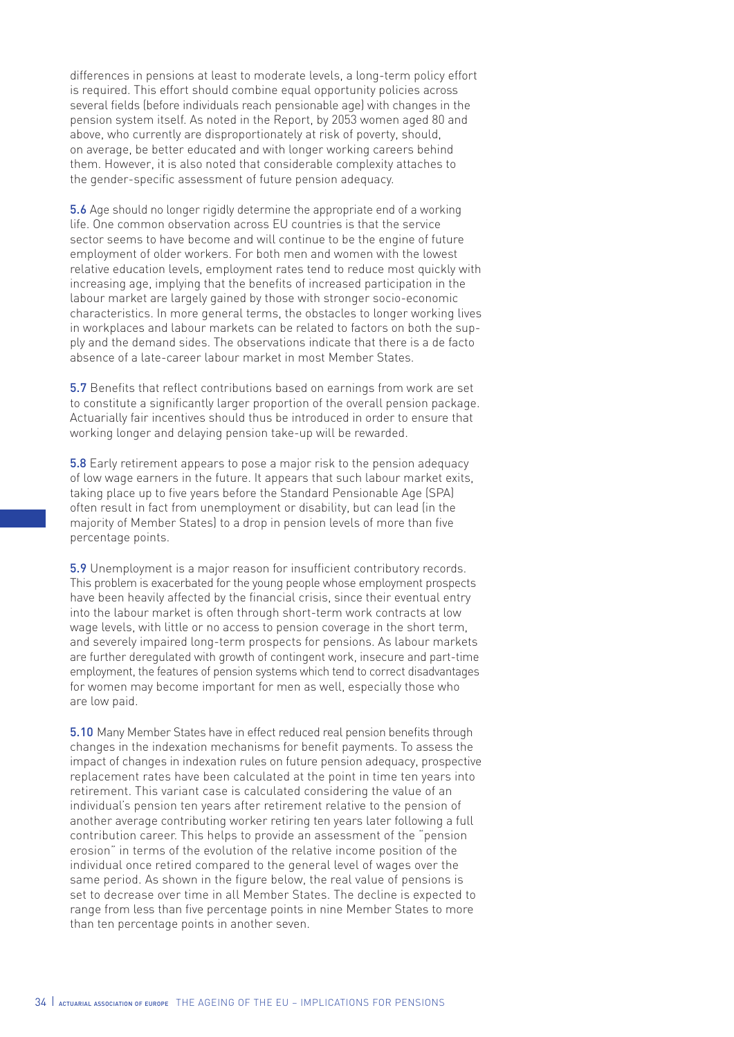differences in pensions at least to moderate levels, a long-term policy effort is required. This effort should combine equal opportunity policies across several fields (before individuals reach pensionable age) with changes in the pension system itself. As noted in the Report, by 2053 women aged 80 and above, who currently are disproportionately at risk of poverty, should, on average, be better educated and with longer working careers behind them. However, it is also noted that considerable complexity attaches to the gender-specific assessment of future pension adequacy.

5.6 Age should no longer rigidly determine the appropriate end of a working life. One common observation across EU countries is that the service sector seems to have become and will continue to be the engine of future employment of older workers. For both men and women with the lowest relative education levels, employment rates tend to reduce most quickly with increasing age, implying that the benefits of increased participation in the labour market are largely gained by those with stronger socio-economic characteristics. In more general terms, the obstacles to longer working lives in workplaces and labour markets can be related to factors on both the supply and the demand sides. The observations indicate that there is a de facto absence of a late-career labour market in most Member States.

5.7 Benefits that reflect contributions based on earnings from work are set to constitute a significantly larger proportion of the overall pension package. Actuarially fair incentives should thus be introduced in order to ensure that working longer and delaying pension take-up will be rewarded.

5.8 Early retirement appears to pose a major risk to the pension adequacy of low wage earners in the future. It appears that such labour market exits, taking place up to five years before the Standard Pensionable Age (SPA) often result in fact from unemployment or disability, but can lead (in the majority of Member States) to a drop in pension levels of more than five percentage points.

5.9 Unemployment is a major reason for insufficient contributory records. This problem is exacerbated for the young people whose employment prospects have been heavily affected by the financial crisis, since their eventual entry into the labour market is often through short-term work contracts at low wage levels, with little or no access to pension coverage in the short term, and severely impaired long-term prospects for pensions. As labour markets are further deregulated with growth of contingent work, insecure and part-time employment, the features of pension systems which tend to correct disadvantages for women may become important for men as well, especially those who are low paid.

5.10 Many Member States have in effect reduced real pension benefits through changes in the indexation mechanisms for benefit payments. To assess the impact of changes in indexation rules on future pension adequacy, prospective replacement rates have been calculated at the point in time ten years into retirement. This variant case is calculated considering the value of an individual's pension ten years after retirement relative to the pension of another average contributing worker retiring ten years later following a full contribution career. This helps to provide an assessment of the "pension erosion" in terms of the evolution of the relative income position of the individual once retired compared to the general level of wages over the same period. As shown in the figure below, the real value of pensions is set to decrease over time in all Member States. The decline is expected to range from less than five percentage points in nine Member States to more than ten percentage points in another seven.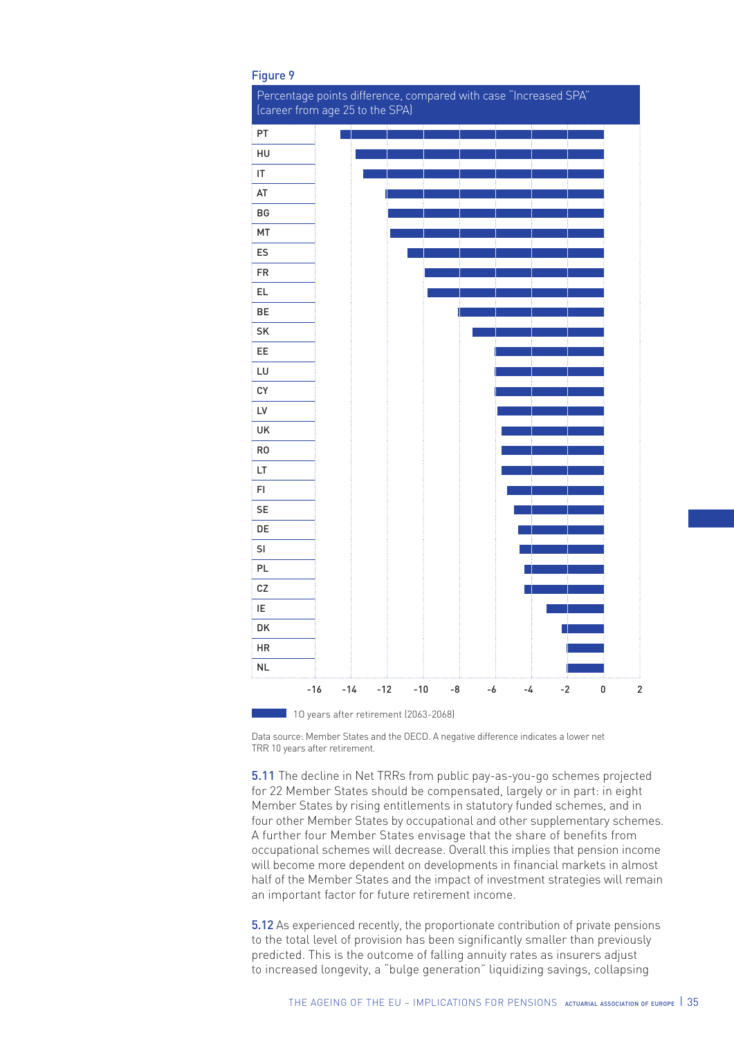# Figure 9





5.11 The decline in Net TRRs from public pay-as-you-go schemes projected for 22 Member States should be compensated, largely or in part: in eight Member States by rising entitlements in statutory funded schemes, and in four other Member States by occupational and other supplementary schemes. A further four Member States envisage that the share of benefits from occupational schemes will decrease. Overall this implies that pension income will become more dependent on developments in financial markets in almost half of the Member States and the impact of investment strategies will remain an important factor for future retirement income.

5.12 As experienced recently, the proportionate contribution of private pensions to the total level of provision has been significantly smaller than previously predicted. This is the outcome of falling annuity rates as insurers adjust to increased longevity, a "bulge generation" liquidizing savings, collapsing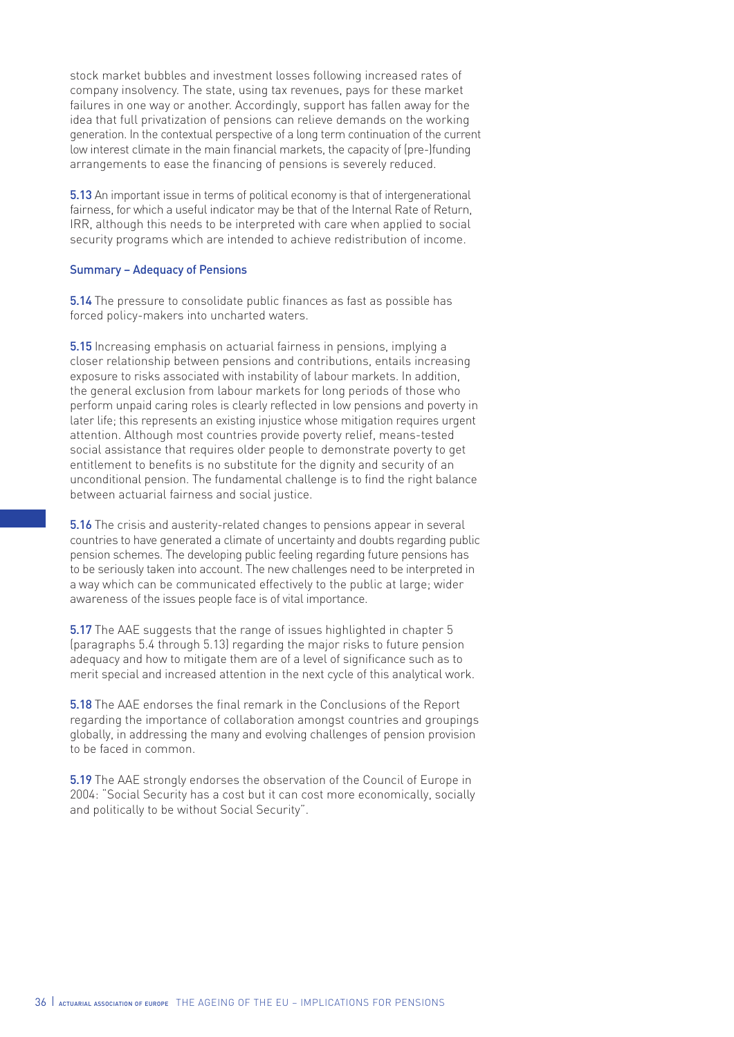stock market bubbles and investment losses following increased rates of company insolvency. The state, using tax revenues, pays for these market failures in one way or another. Accordingly, support has fallen away for the idea that full privatization of pensions can relieve demands on the working generation. In the contextual perspective of a long term continuation of the current low interest climate in the main financial markets, the capacity of (pre-)funding arrangements to ease the financing of pensions is severely reduced.

5.13 An important issue in terms of political economy is that of intergenerational fairness, for which a useful indicator may be that of the Internal Rate of Return, IRR, although this needs to be interpreted with care when applied to social security programs which are intended to achieve redistribution of income.

#### Summary – Adequacy of Pensions

5.14 The pressure to consolidate public finances as fast as possible has forced policy-makers into uncharted waters.

5.15 Increasing emphasis on actuarial fairness in pensions, implying a closer relationship between pensions and contributions, entails increasing exposure to risks associated with instability of labour markets. In addition, the general exclusion from labour markets for long periods of those who perform unpaid caring roles is clearly reflected in low pensions and poverty in later life; this represents an existing injustice whose mitigation requires urgent attention. Although most countries provide poverty relief, means-tested social assistance that requires older people to demonstrate poverty to get entitlement to benefits is no substitute for the dignity and security of an unconditional pension. The fundamental challenge is to find the right balance between actuarial fairness and social justice.

5.16 The crisis and austerity-related changes to pensions appear in several countries to have generated a climate of uncertainty and doubts regarding public pension schemes. The developing public feeling regarding future pensions has to be seriously taken into account. The new challenges need to be interpreted in a way which can be communicated effectively to the public at large; wider awareness of the issues people face is of vital importance.

5.17 The AAE suggests that the range of issues highlighted in chapter 5 (paragraphs 5.4 through 5.13) regarding the major risks to future pension adequacy and how to mitigate them are of a level of significance such as to merit special and increased attention in the next cycle of this analytical work.

5.18 The AAE endorses the final remark in the Conclusions of the Report regarding the importance of collaboration amongst countries and groupings globally, in addressing the many and evolving challenges of pension provision to be faced in common.

5.19 The AAE strongly endorses the observation of the Council of Europe in 2004: "Social Security has a cost but it can cost more economically, socially and politically to be without Social Security".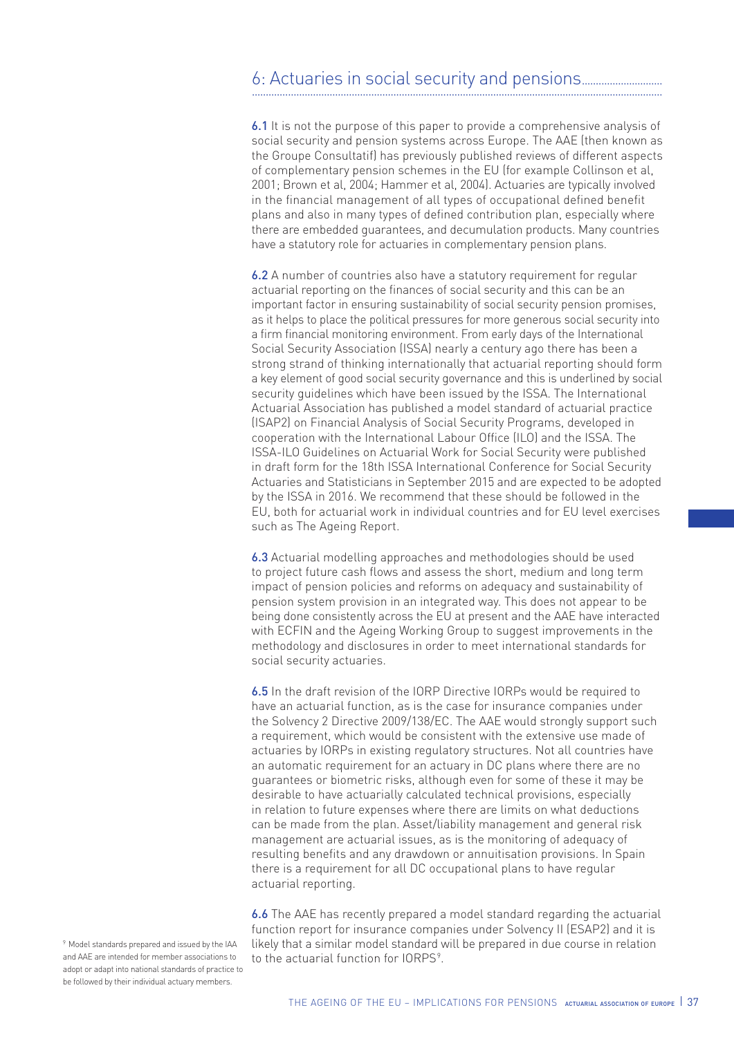## 6: Actuaries in social security and pensions............................. ....................................................................................................................................................

6.1 It is not the purpose of this paper to provide a comprehensive analysis of social security and pension systems across Europe. The AAE (then known as the Groupe Consultatif) has previously published reviews of different aspects of complementary pension schemes in the EU (for example Collinson et al, 2001; Brown et al, 2004; Hammer et al, 2004). Actuaries are typically involved in the financial management of all types of occupational defined benefit plans and also in many types of defined contribution plan, especially where there are embedded guarantees, and decumulation products. Many countries have a statutory role for actuaries in complementary pension plans.

6.2 A number of countries also have a statutory requirement for regular actuarial reporting on the finances of social security and this can be an important factor in ensuring sustainability of social security pension promises, as it helps to place the political pressures for more generous social security into a firm financial monitoring environment. From early days of the International Social Security Association (ISSA) nearly a century ago there has been a strong strand of thinking internationally that actuarial reporting should form a key element of good social security governance and this is underlined by social security guidelines which have been issued by the ISSA. The International Actuarial Association has published a model standard of actuarial practice (ISAP2) on Financial Analysis of Social Security Programs, developed in cooperation with the International Labour Office (ILO) and the ISSA. The ISSA-ILO Guidelines on Actuarial Work for Social Security were published in draft form for the 18th ISSA International Conference for Social Security Actuaries and Statisticians in September 2015 and are expected to be adopted by the ISSA in 2016. We recommend that these should be followed in the EU, both for actuarial work in individual countries and for EU level exercises such as The Ageing Report.

6.3 Actuarial modelling approaches and methodologies should be used to project future cash flows and assess the short, medium and long term impact of pension policies and reforms on adequacy and sustainability of pension system provision in an integrated way. This does not appear to be being done consistently across the EU at present and the AAE have interacted with ECFIN and the Ageing Working Group to suggest improvements in the methodology and disclosures in order to meet international standards for social security actuaries.

6.5 In the draft revision of the IORP Directive IORPs would be required to have an actuarial function, as is the case for insurance companies under the Solvency 2 Directive 2009/138/EC. The AAE would strongly support such a requirement, which would be consistent with the extensive use made of actuaries by IORPs in existing regulatory structures. Not all countries have an automatic requirement for an actuary in DC plans where there are no guarantees or biometric risks, although even for some of these it may be desirable to have actuarially calculated technical provisions, especially in relation to future expenses where there are limits on what deductions can be made from the plan. Asset/liability management and general risk management are actuarial issues, as is the monitoring of adequacy of resulting benefits and any drawdown or annuitisation provisions. In Spain there is a requirement for all DC occupational plans to have regular actuarial reporting.

<sup>9</sup> Model standards prepared and issued by the IAA and AAE are intended for member associations to adopt or adapt into national standards of practice to be followed by their individual actuary members.

6.6 The AAE has recently prepared a model standard regarding the actuarial function report for insurance companies under Solvency II (ESAP2) and it is likely that a similar model standard will be prepared in due course in relation to the actuarial function for IORPS<sup>9</sup>.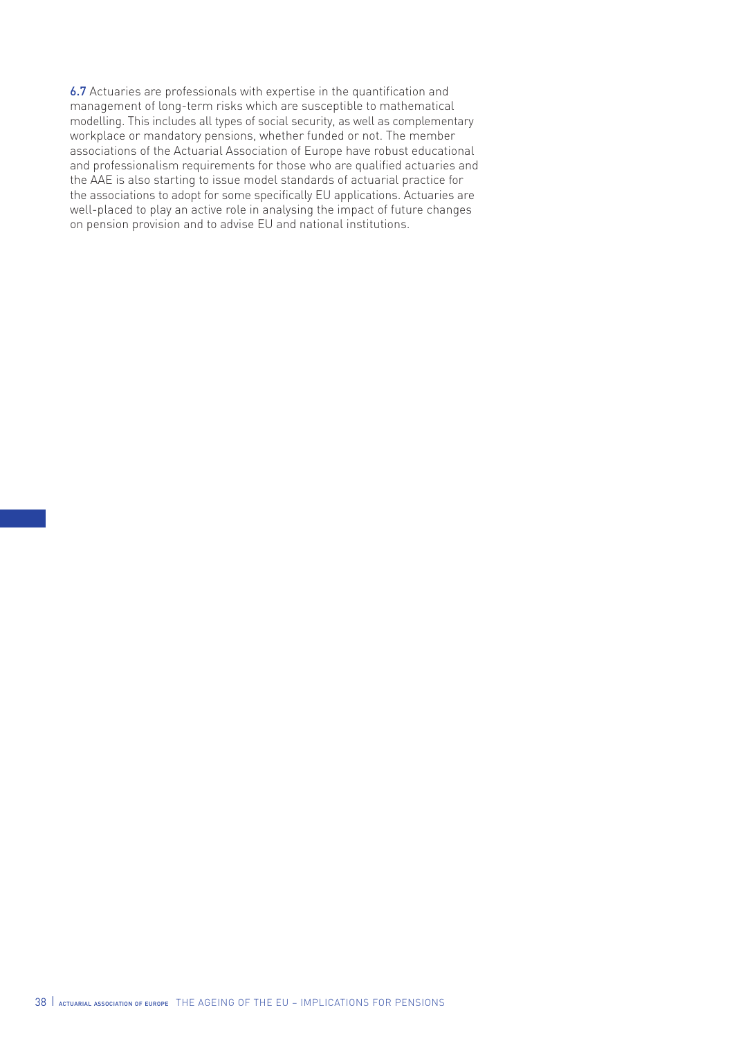6.7 Actuaries are professionals with expertise in the quantification and management of long-term risks which are susceptible to mathematical modelling. This includes all types of social security, as well as complementary workplace or mandatory pensions, whether funded or not. The member associations of the Actuarial Association of Europe have robust educational and professionalism requirements for those who are qualified actuaries and the AAE is also starting to issue model standards of actuarial practice for the associations to adopt for some specifically EU applications. Actuaries are well-placed to play an active role in analysing the impact of future changes on pension provision and to advise EU and national institutions.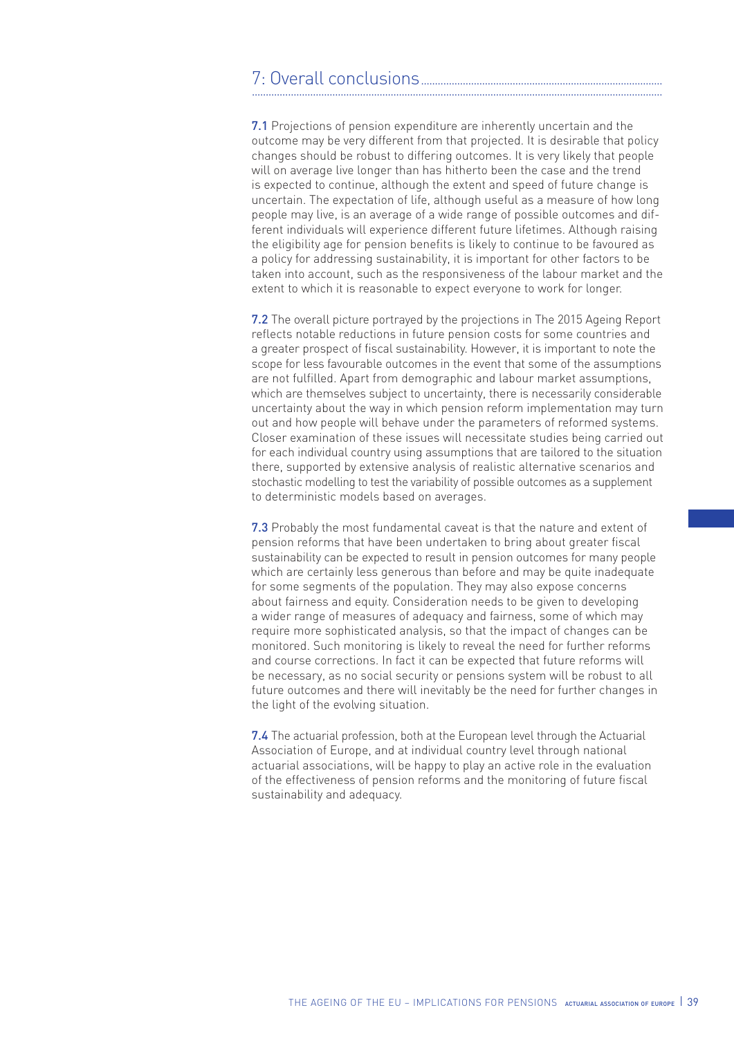# 7: Overall conclusions....................................................................................... ....................................................................................................................................................

7.1 Projections of pension expenditure are inherently uncertain and the outcome may be very different from that projected. It is desirable that policy changes should be robust to differing outcomes. It is very likely that people will on average live longer than has hitherto been the case and the trend is expected to continue, although the extent and speed of future change is uncertain. The expectation of life, although useful as a measure of how long people may live, is an average of a wide range of possible outcomes and different individuals will experience different future lifetimes. Although raising the eligibility age for pension benefits is likely to continue to be favoured as a policy for addressing sustainability, it is important for other factors to be taken into account, such as the responsiveness of the labour market and the extent to which it is reasonable to expect everyone to work for longer.

7.2 The overall picture portrayed by the projections in The 2015 Ageing Report reflects notable reductions in future pension costs for some countries and a greater prospect of fiscal sustainability. However, it is important to note the scope for less favourable outcomes in the event that some of the assumptions are not fulfilled. Apart from demographic and labour market assumptions, which are themselves subject to uncertainty, there is necessarily considerable uncertainty about the way in which pension reform implementation may turn out and how people will behave under the parameters of reformed systems. Closer examination of these issues will necessitate studies being carried out for each individual country using assumptions that are tailored to the situation there, supported by extensive analysis of realistic alternative scenarios and stochastic modelling to test the variability of possible outcomes as a supplement to deterministic models based on averages.

7.3 Probably the most fundamental caveat is that the nature and extent of pension reforms that have been undertaken to bring about greater fiscal sustainability can be expected to result in pension outcomes for many people which are certainly less generous than before and may be quite inadequate for some segments of the population. They may also expose concerns about fairness and equity. Consideration needs to be given to developing a wider range of measures of adequacy and fairness, some of which may require more sophisticated analysis, so that the impact of changes can be monitored. Such monitoring is likely to reveal the need for further reforms and course corrections. In fact it can be expected that future reforms will be necessary, as no social security or pensions system will be robust to all future outcomes and there will inevitably be the need for further changes in the light of the evolving situation.

7.4 The actuarial profession, both at the European level through the Actuarial Association of Europe, and at individual country level through national actuarial associations, will be happy to play an active role in the evaluation of the effectiveness of pension reforms and the monitoring of future fiscal sustainability and adequacy.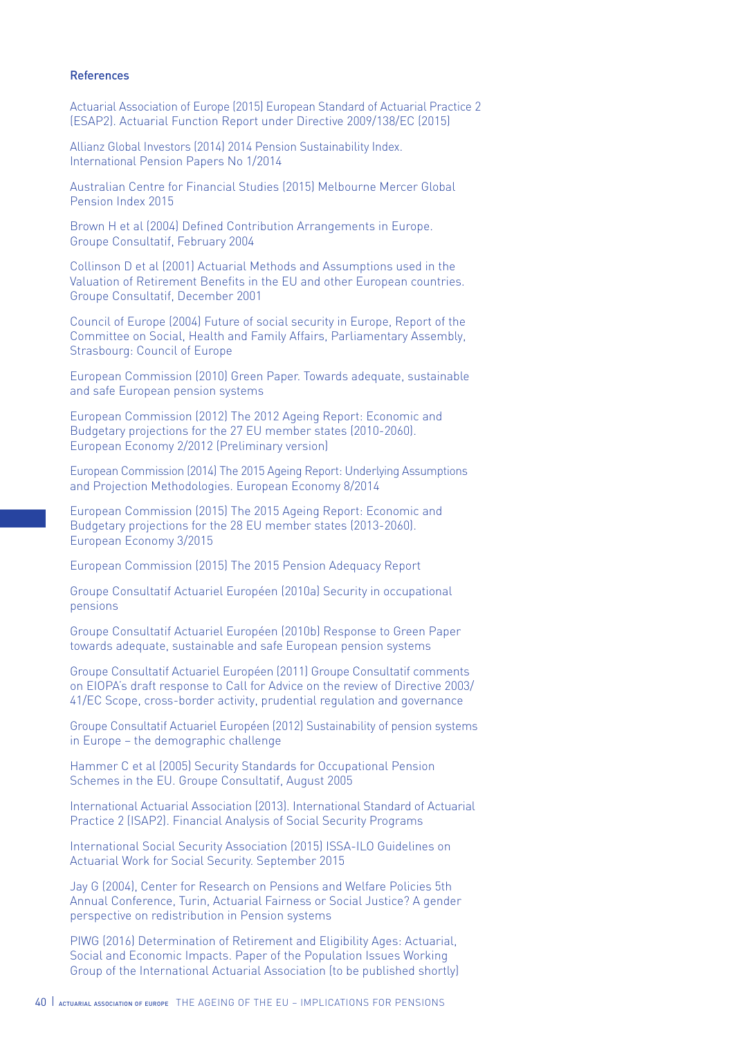#### References

Actuarial Association of Europe (2015) European Standard of Actuarial Practice 2 (ESAP2). Actuarial Function Report under Directive 2009/138/EC (2015)

Allianz Global Investors (2014) 2014 Pension Sustainability Index. International Pension Papers No 1/2014

Australian Centre for Financial Studies (2015) Melbourne Mercer Global Pension Index 2015

Brown H et al (2004) Defined Contribution Arrangements in Europe. Groupe Consultatif, February 2004

Collinson D et al (2001) Actuarial Methods and Assumptions used in the Valuation of Retirement Benefits in the EU and other European countries. Groupe Consultatif, December 2001

Council of Europe (2004) Future of social security in Europe, Report of the Committee on Social, Health and Family Affairs, Parliamentary Assembly, Strasbourg: Council of Europe

European Commission (2010) Green Paper. Towards adequate, sustainable and safe European pension systems

European Commission (2012) The 2012 Ageing Report: Economic and Budgetary projections for the 27 EU member states (2010-2060). European Economy 2/2012 (Preliminary version)

European Commission (2014) The 2015 Ageing Report: Underlying Assumptions and Projection Methodologies. European Economy 8/2014

European Commission (2015) The 2015 Ageing Report: Economic and Budgetary projections for the 28 EU member states (2013-2060). European Economy 3/2015

European Commission (2015) The 2015 Pension Adequacy Report

Groupe Consultatif Actuariel Européen (2010a) Security in occupational pensions

Groupe Consultatif Actuariel Européen (2010b) Response to Green Paper towards adequate, sustainable and safe European pension systems

Groupe Consultatif Actuariel Européen (2011) Groupe Consultatif comments on EIOPA's draft response to Call for Advice on the review of Directive 2003/ 41/EC Scope, cross-border activity, prudential regulation and governance

Groupe Consultatif Actuariel Européen (2012) Sustainability of pension systems in Europe – the demographic challenge

Hammer C et al (2005) Security Standards for Occupational Pension Schemes in the EU. Groupe Consultatif, August 2005

International Actuarial Association (2013). International Standard of Actuarial Practice 2 (ISAP2). Financial Analysis of Social Security Programs

International Social Security Association (2015) ISSA-ILO Guidelines on Actuarial Work for Social Security. September 2015

Jay G (2004), Center for Research on Pensions and Welfare Policies 5th Annual Conference, Turin, Actuarial Fairness or Social Justice? A gender perspective on redistribution in Pension systems

PIWG (2016) Determination of Retirement and Eligibility Ages: Actuarial, Social and Economic Impacts. Paper of the Population Issues Working Group of the International Actuarial Association (to be published shortly)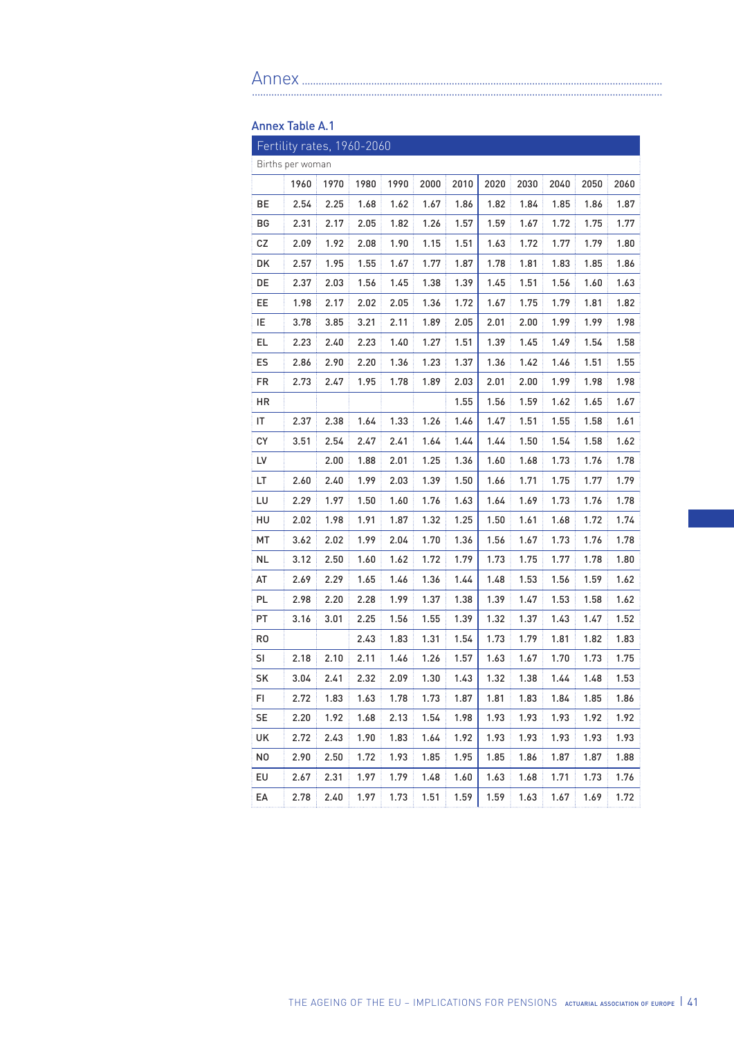# Annex .................................................................................................................................. ....................................................................................................................................................

# Annex Table A.1

| Fertility rates, 1960-2060 |      |      |      |      |      |      |      |      |      |      |      |
|----------------------------|------|------|------|------|------|------|------|------|------|------|------|
| Births per woman           |      |      |      |      |      |      |      |      |      |      |      |
|                            | 1960 | 1970 | 1980 | 1990 | 2000 | 2010 | 2020 | 2030 | 2040 | 2050 | 2060 |
| BЕ                         | 2.54 | 2.25 | 1.68 | 1.62 | 1.67 | 1.86 | 1.82 | 1.84 | 1.85 | 1.86 | 1.87 |
| ВG                         | 2.31 | 2.17 | 2.05 | 1.82 | 1.26 | 1.57 | 1.59 | 1.67 | 1.72 | 1.75 | 1.77 |
| СZ                         | 2.09 | 1.92 | 2.08 | 1.90 | 1.15 | 1.51 | 1.63 | 1.72 | 1.77 | 1.79 | 1.80 |
| DK                         | 2.57 | 1.95 | 1.55 | 1.67 | 1.77 | 1.87 | 1.78 | 1.81 | 1.83 | 1.85 | 1.86 |
| DE                         | 2.37 | 2.03 | 1.56 | 1.45 | 1.38 | 1.39 | 1.45 | 1.51 | 1.56 | 1.60 | 1.63 |
| EE                         | 1.98 | 2.17 | 2.02 | 2.05 | 1.36 | 1.72 | 1.67 | 1.75 | 1.79 | 1.81 | 1.82 |
| IE                         | 3.78 | 3.85 | 3.21 | 2.11 | 1.89 | 2.05 | 2.01 | 2.00 | 1.99 | 1.99 | 1.98 |
| EL                         | 2.23 | 2.40 | 2.23 | 1.40 | 1.27 | 1.51 | 1.39 | 1.45 | 1.49 | 1.54 | 1.58 |
| ES                         | 2.86 | 2.90 | 2.20 | 1.36 | 1.23 | 1.37 | 1.36 | 1.42 | 1.46 | 1.51 | 1.55 |
| FR                         | 2.73 | 2.47 | 1.95 | 1.78 | 1.89 | 2.03 | 2.01 | 2.00 | 1.99 | 1.98 | 1.98 |
| ΗR                         |      |      |      |      |      | 1.55 | 1.56 | 1.59 | 1.62 | 1.65 | 1.67 |
| IT                         | 2.37 | 2.38 | 1.64 | 1.33 | 1.26 | 1.46 | 1.47 | 1.51 | 1.55 | 1.58 | 1.61 |
| СY                         | 3.51 | 2.54 | 2.47 | 2.41 | 1.64 | 1.44 | 1.44 | 1.50 | 1.54 | 1.58 | 1.62 |
| LV                         |      | 2.00 | 1.88 | 2.01 | 1.25 | 1.36 | 1.60 | 1.68 | 1.73 | 1.76 | 1.78 |
| LT                         | 2.60 | 2.40 | 1.99 | 2.03 | 1.39 | 1.50 | 1.66 | 1.71 | 1.75 | 1.77 | 1.79 |
| LU                         | 2.29 | 1.97 | 1.50 | 1.60 | 1.76 | 1.63 | 1.64 | 1.69 | 1.73 | 1.76 | 1.78 |
| HU                         | 2.02 | 1.98 | 1.91 | 1.87 | 1.32 | 1.25 | 1.50 | 1.61 | 1.68 | 1.72 | 1.74 |
| МT                         | 3.62 | 2.02 | 1.99 | 2.04 | 1.70 | 1.36 | 1.56 | 1.67 | 1.73 | 1.76 | 1.78 |
| ΝL                         | 3.12 | 2.50 | 1.60 | 1.62 | 1.72 | 1.79 | 1.73 | 1.75 | 1.77 | 1.78 | 1.80 |
| AT                         | 2.69 | 2.29 | 1.65 | 1.46 | 1.36 | 1.44 | 1.48 | 1.53 | 1.56 | 1.59 | 1.62 |
| PL                         | 2.98 | 2.20 | 2.28 | 1.99 | 1.37 | 1.38 | 1.39 | 1.47 | 1.53 | 1.58 | 1.62 |
| PT                         | 3.16 | 3.01 | 2.25 | 1.56 | 1.55 | 1.39 | 1.32 | 1.37 | 1.43 | 1.47 | 1.52 |
| R0                         |      |      | 2.43 | 1.83 | 1.31 | 1.54 | 1.73 | 1.79 | 1.81 | 1.82 | 1.83 |
| SI                         | 2.18 | 2.10 | 2.11 | 1.46 | 1.26 | 1.57 | 1.63 | 1.67 | 1.70 | 1.73 | 1.75 |
| SK                         | 3.04 | 2.41 | 2.32 | 2.09 | 1.30 | 1.43 | 1.32 | 1.38 | 1.44 | 1.48 | 1.53 |
| FI                         | 2.72 | 1.83 | 1.63 | 1.78 | 1.73 | 1.87 | 1.81 | 1.83 | 1.84 | 1.85 | 1.86 |
| SE                         | 2.20 | 1.92 | 1.68 | 2.13 | 1.54 | 1.98 | 1.93 | 1.93 | 1.93 | 1.92 | 1.92 |
| UK                         | 2.72 | 2.43 | 1.90 | 1.83 | 1.64 | 1.92 | 1.93 | 1.93 | 1.93 | 1.93 | 1.93 |
| N <sub>0</sub>             | 2.90 | 2.50 | 1.72 | 1.93 | 1.85 | 1.95 | 1.85 | 1.86 | 1.87 | 1.87 | 1.88 |
| EU                         | 2.67 | 2.31 | 1.97 | 1.79 | 1.48 | 1.60 | 1.63 | 1.68 | 1.71 | 1.73 | 1.76 |
| EA                         | 2.78 | 2.40 | 1.97 | 1.73 | 1.51 | 1.59 | 1.59 | 1.63 | 1.67 | 1.69 | 1.72 |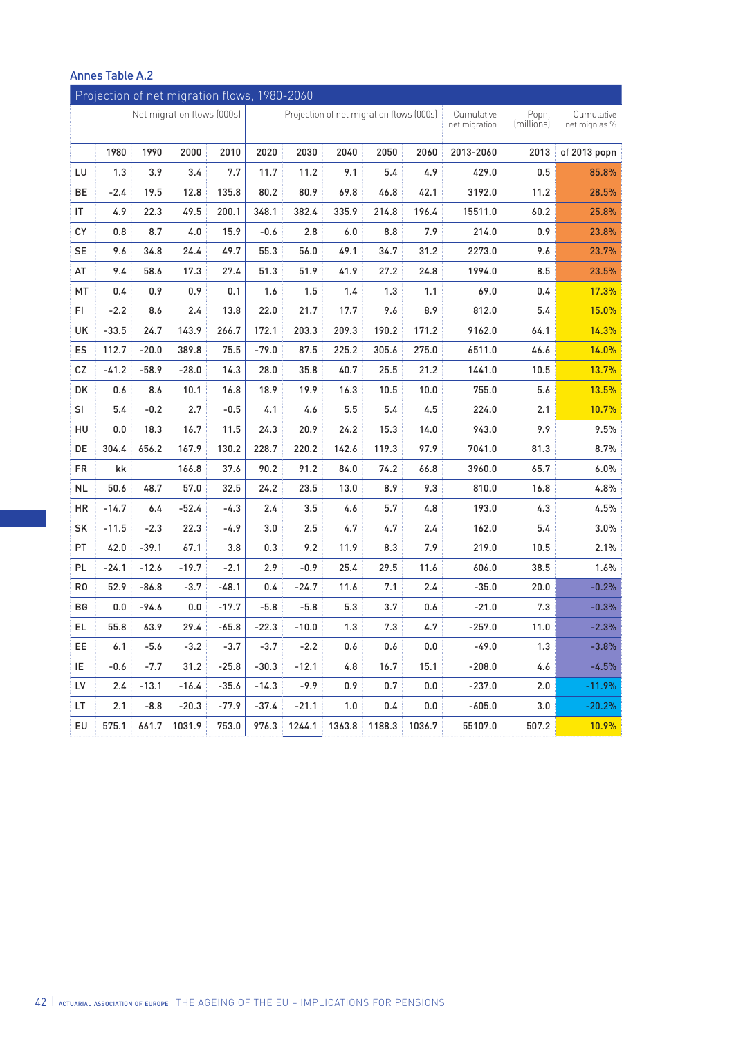| Projection of net migration flows, 1980-2060 |         |         |         |                                          |         |         |        |        |                             |                     |                             |              |
|----------------------------------------------|---------|---------|---------|------------------------------------------|---------|---------|--------|--------|-----------------------------|---------------------|-----------------------------|--------------|
| Net migration flows (000s)                   |         |         |         | Projection of net migration flows (000s) |         |         |        |        | Cumulative<br>net migration | Popn.<br>(millions) | Cumulative<br>net mign as % |              |
|                                              | 1980    | 1990    | 2000    | 2010                                     | 2020    | 2030    | 2040   | 2050   | 2060                        | 2013-2060           | 2013                        | of 2013 popn |
| LU                                           | 1.3     | 3.9     | 3.4     | 7.7                                      | 11.7    | 11.2    | 9.1    | 5.4    | 4.9                         | 429.0               | 0.5                         | 85.8%        |
| BЕ                                           | $-2.4$  | 19.5    | 12.8    | 135.8                                    | 80.2    | 80.9    | 69.8   | 46.8   | 42.1                        | 3192.0              | 11.2                        | 28.5%        |
| IT                                           | 4.9     | 22.3    | 49.5    | 200.1                                    | 348.1   | 382.4   | 335.9  | 214.8  | 196.4                       | 15511.0             | 60.2                        | 25.8%        |
| СY                                           | 0.8     | 8.7     | 4.0     | 15.9                                     | $-0.6$  | 2.8     | 6.0    | 8.8    | 7.9                         | 214.0               | 0.9                         | 23.8%        |
| <b>SE</b>                                    | 9.6     | 34.8    | 24.4    | 49.7                                     | 55.3    | 56.0    | 49.1   | 34.7   | 31.2                        | 2273.0              | 9.6                         | 23.7%        |
| AT                                           | 9.4     | 58.6    | 17.3    | 27.4                                     | 51.3    | 51.9    | 41.9   | 27.2   | 24.8                        | 1994.0              | 8.5                         | 23.5%        |
| МT                                           | 0.4     | 0.9     | 0.9     | 0.1                                      | 1.6     | 1.5     | 1.4    | 1.3    | 1.1                         | 69.0                | 0.4                         | 17.3%        |
| FI.                                          | $-2.2$  | 8.6     | 2.4     | 13.8                                     | 22.0    | 21.7    | 17.7   | 9.6    | 8.9                         | 812.0               | 5.4                         | 15.0%        |
| UK                                           | $-33.5$ | 24.7    | 143.9   | 266.7                                    | 172.1   | 203.3   | 209.3  | 190.2  | 171.2                       | 9162.0              | 64.1                        | 14.3%        |
| ES                                           | 112.7   | $-20.0$ | 389.8   | 75.5                                     | $-79.0$ | 87.5    | 225.2  | 305.6  | 275.0                       | 6511.0              | 46.6                        | 14.0%        |
| СZ                                           | $-41.2$ | $-58.9$ | $-28.0$ | 14.3                                     | 28.0    | 35.8    | 40.7   | 25.5   | 21.2                        | 1441.0              | 10.5                        | 13.7%        |
| DK                                           | 0.6     | 8.6     | 10.1    | 16.8                                     | 18.9    | 19.9    | 16.3   | 10.5   | 10.0                        | 755.0               | 5.6                         | 13.5%        |
| SI                                           | 5.4     | $-0.2$  | 2.7     | $-0.5$                                   | 4.1     | 4.6     | 5.5    | 5.4    | 4.5                         | 224.0               | 2.1                         | 10.7%        |
| HU                                           | 0.0     | 18.3    | 16.7    | 11.5                                     | 24.3    | 20.9    | 24.2   | 15.3   | 14.0                        | 943.0               | 9.9                         | 9.5%         |
| DE                                           | 304.4   | 656.2   | 167.9   | 130.2                                    | 228.7   | 220.2   | 142.6  | 119.3  | 97.9                        | 7041.0              | 81.3                        | 8.7%         |
| FR                                           | kk      |         | 166.8   | 37.6                                     | 90.2    | 91.2    | 84.0   | 74.2   | 66.8                        | 3960.0              | 65.7                        | 6.0%         |
| <b>NL</b>                                    | 50.6    | 48.7    | 57.0    | 32.5                                     | 24.2    | 23.5    | 13.0   | 8.9    | 9.3                         | 810.0               | 16.8                        | 4.8%         |
| ΗR                                           | $-14.7$ | 6.4     | $-52.4$ | -4.3                                     | 2.4     | 3.5     | 4.6    | 5.7    | 4.8                         | 193.0               | 4.3                         | 4.5%         |
| SK                                           | $-11.5$ | $-2.3$  | 22.3    | -4.9                                     | 3.0     | 2.5     | 4.7    | 4.7    | 2.4                         | 162.0               | 5.4                         | 3.0%         |
| PT                                           | 42.0    | $-39.1$ | 67.1    | 3.8                                      | 0.3     | 9.2     | 11.9   | 8.3    | 7.9                         | 219.0               | 10.5                        | 2.1%         |
| PL                                           | $-24.1$ | $-12.6$ | $-19.7$ | $-2.1$                                   | 2.9     | $-0.9$  | 25.4   | 29.5   | 11.6                        | 606.0               | 38.5                        | 1.6%         |
| R <sub>0</sub>                               | 52.9    | $-86.8$ | $-3.7$  | $-48.1$                                  | 0.4     | $-24.7$ | 11.6   | 7.1    | 2.4                         | $-35.0$             | 20.0                        | $-0.2%$      |
| ВG                                           | $0.0\,$ | $-94.6$ | 0.0     | $-17.7$                                  | $-5.8$  | $-5.8$  | 5.3    | 3.7    | 0.6                         | $-21.0$             | 7.3                         | $-0.3%$      |
| EL.                                          | 55.8    | 63.9    | 29.4    | $-65.8$                                  | $-22.3$ | $-10.0$ | 1.3    | 7.3    | 4.7                         | $-257.0$            | 11.0                        | $-2.3%$      |
| EE.                                          | 6.1     | $-5.6$  | $-3.2$  | $-3.7$                                   | $-3.7$  | $-2.2$  | 0.6    | 0.6    | 0.0                         | $-49.0$             | 1.3                         | $-3.8%$      |
| ΙE                                           | $-0.6$  | $-7.7$  | 31.2    | $-25.8$                                  | $-30.3$ | $-12.1$ | 4.8    | 16.7   | 15.1                        | $-208.0$            | 4.6                         | $-4.5%$      |
| LV                                           | 2.4     | $-13.1$ | $-16.4$ | $-35.6$                                  | $-14.3$ | $-9.9$  | 0.9    | 0.7    | 0.0                         | $-237.0$            | 2.0                         | $-11.9%$     |
| LT.                                          | 2.1     | $-8.8$  | $-20.3$ | $-77.9$                                  | $-37.4$ | $-21.1$ | 1.0    | 0.4    | 0.0                         | $-605.0$            | 3.0                         | $-20.2%$     |
| EU                                           | 575.1   | 661.7   | 1031.9  | 753.0                                    | 976.3   | 1244.1  | 1363.8 | 1188.3 | 1036.7                      | 55107.0             | 507.2                       | 10.9%        |

# Annes Table A.2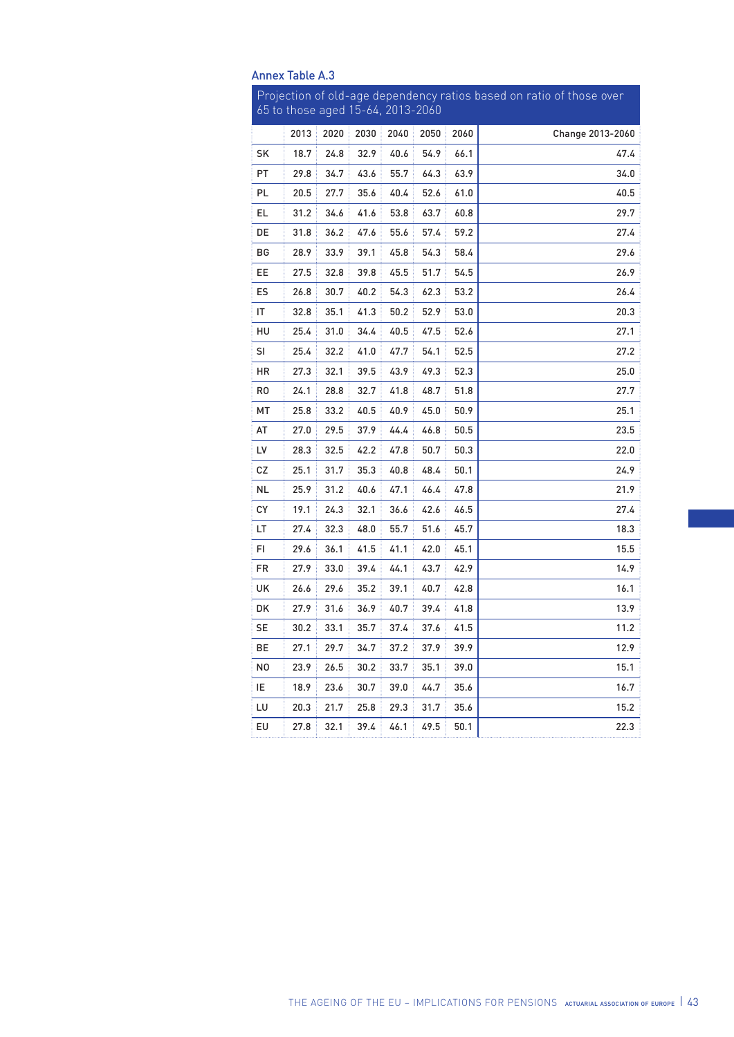| <b>Annex Table A.3</b> |  |  |
|------------------------|--|--|
|                        |  |  |

|    |      |      |                                   |      |      |      | Projection of old-age dependency ratios based on ratio of those over |
|----|------|------|-----------------------------------|------|------|------|----------------------------------------------------------------------|
|    |      |      | 65 to those aged 15-64, 2013-2060 |      |      |      |                                                                      |
|    | 2013 | 2020 | 2030                              | 2040 | 2050 | 2060 | Change 2013-2060                                                     |
| SK | 18.7 | 24.8 | 32.9                              | 40.6 | 54.9 | 66.1 | 47.4                                                                 |
| PT | 29.8 | 34.7 | 43.6                              | 55.7 | 64.3 | 63.9 | 34.0                                                                 |
| PL | 20.5 | 27.7 | 35.6                              | 40.4 | 52.6 | 61.0 | 40.5                                                                 |
| EL | 31.2 | 34.6 | 41.6                              | 53.8 | 63.7 | 60.8 | 29.7                                                                 |
| DE | 31.8 | 36.2 | 47.6                              | 55.6 | 57.4 | 59.2 | 27.4                                                                 |
| ВG | 28.9 | 33.9 | 39.1                              | 45.8 | 54.3 | 58.4 | 29.6                                                                 |
| EE | 27.5 | 32.8 | 39.8                              | 45.5 | 51.7 | 54.5 | 26.9                                                                 |
| ES | 26.8 | 30.7 | 40.2                              | 54.3 | 62.3 | 53.2 | 26.4                                                                 |
| IT | 32.8 | 35.1 | 41.3                              | 50.2 | 52.9 | 53.0 | 20.3                                                                 |
| HU | 25.4 | 31.0 | 34.4                              | 40.5 | 47.5 | 52.6 | 27.1                                                                 |
| SI | 25.4 | 32.2 | 41.0                              | 47.7 | 54.1 | 52.5 | 27.2                                                                 |
| HR | 27.3 | 32.1 | 39.5                              | 43.9 | 49.3 | 52.3 | 25.0                                                                 |
| R0 | 24.1 | 28.8 | 32.7                              | 41.8 | 48.7 | 51.8 | 27.7                                                                 |
| МT | 25.8 | 33.2 | 40.5                              | 40.9 | 45.0 | 50.9 | 25.1                                                                 |
| AT | 27.0 | 29.5 | 37.9                              | 44.4 | 46.8 | 50.5 | 23.5                                                                 |
| LV | 28.3 | 32.5 | 42.2                              | 47.8 | 50.7 | 50.3 | 22.0                                                                 |
| СZ | 25.1 | 31.7 | 35.3                              | 40.8 | 48.4 | 50.1 | 24.9                                                                 |
| NL | 25.9 | 31.2 | 40.6                              | 47.1 | 46.4 | 47.8 | 21.9                                                                 |
| СY | 19.1 | 24.3 | 32.1                              | 36.6 | 42.6 | 46.5 | 27.4                                                                 |
| LT | 27.4 | 32.3 | 48.0                              | 55.7 | 51.6 | 45.7 | 18.3                                                                 |
| FI | 29.6 | 36.1 | 41.5                              | 41.1 | 42.0 | 45.1 | 15.5                                                                 |
| FR | 27.9 | 33.0 | 39.4                              | 44.1 | 43.7 | 42.9 | 14.9                                                                 |
| UK | 26.6 | 29.6 | 35.2                              | 39.1 | 40.7 | 42.8 | 16.1                                                                 |
| DK | 27.9 | 31.6 | 36.9                              | 40.7 | 39.4 | 41.8 | 13.9                                                                 |
| SE | 30.2 | 33.1 | 35.7                              | 37.4 | 37.6 | 41.5 | 11.2                                                                 |
| BE | 27.1 | 29.7 | 34.7                              | 37.2 | 37.9 | 39.9 | 12.9                                                                 |
| N0 | 23.9 | 26.5 | 30.2                              | 33.7 | 35.1 | 39.0 | 15.1                                                                 |
| IE | 18.9 | 23.6 | 30.7                              | 39.0 | 44.7 | 35.6 | 16.7                                                                 |
| LU | 20.3 | 21.7 | 25.8                              | 29.3 | 31.7 | 35.6 | 15.2                                                                 |
| EU | 27.8 | 32.1 | 39.4                              | 46.1 | 49.5 | 50.1 | 22.3                                                                 |
|    |      |      |                                   |      |      |      |                                                                      |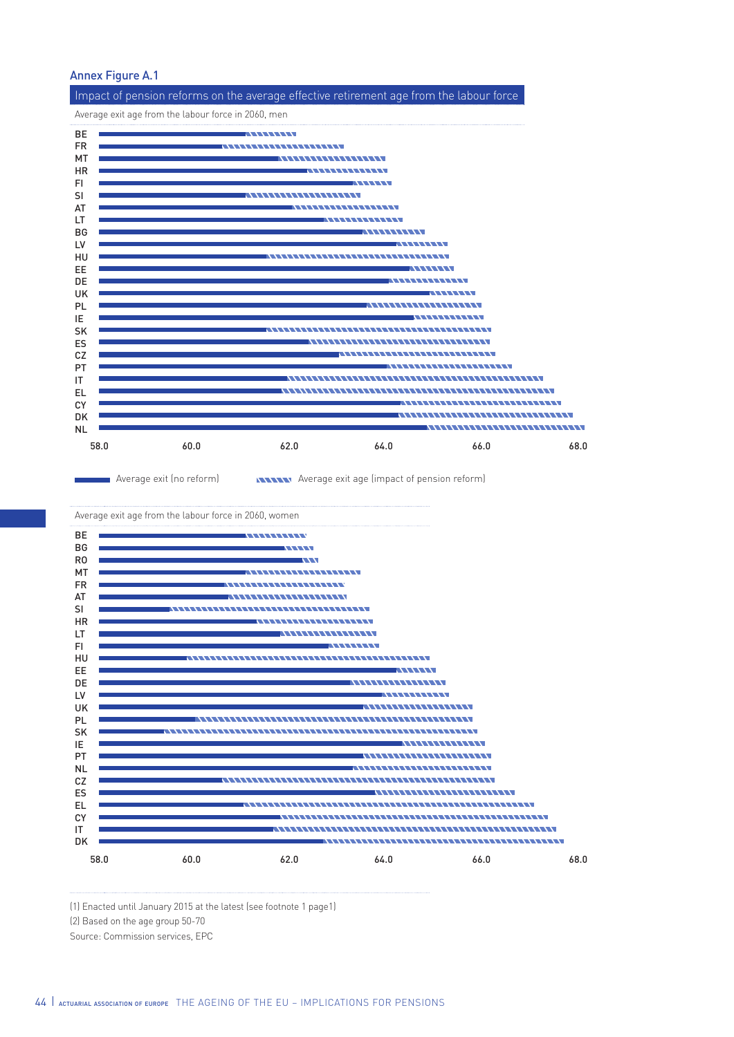# Annex Figure A.1

Impact of pension reforms on the average effective retirement age from the labour force

Average exit age from the labour force in 2060, men



Average exit (no reform) **Average exit age (impact of pension reform)** 

Average exit age from the labour force in 2060, women BE ------------**BG ANTISTIC** RO  $\overline{\mathbf{w}}$ MT ,,,,,,,,,,,,,,,,,,,,,,,, FR AT ,,,,,,,,,,,,,,,,,,,,,,,, SI HR -----------------------LT ,,,,,,,,,,,,,,,,,,,,, FI . . . . . . . . . . . HU --------EE DE ,,,,,,,,,,,,,,,,,,,,, LV ,,,,,,,,,,,,,,, UK ,,,,,,,,,,,,,,,,,,,,,,,, PL SK IE PT -----------------------,,,,,,,,,,,,,,,,,,,,,,,,,,,,, NL CZ ,,,,,,,,,,,,,,,,,,,,,,,,,,,,,,,,,, ES EL **CY** IT **DK** 58.0 60.0 62.0 64.0 66.0 68.0

(1) Enacted until January 2015 at the latest (see footnote 1 page1)

(2) Based on the age group 50-70

Source: Commission services, EPC